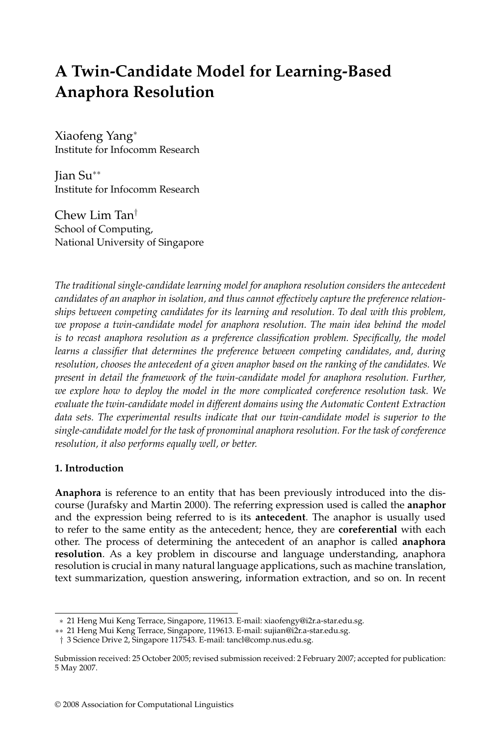# **A Twin-Candidate Model for Learning-Based Anaphora Resolution**

Xiaofeng Yang<sup>∗</sup> Institute for Infocomm Research

Jian Su∗∗ Institute for Infocomm Research

Chew Lim Tan† School of Computing, National University of Singapore

*The traditional single-candidate learning model for anaphora resolution considers the antecedent candidates of an anaphor in isolation, and thus cannot effectively capture the preference relationships between competing candidates for its learning and resolution. To deal with this problem, we propose a twin-candidate model for anaphora resolution. The main idea behind the model is to recast anaphora resolution as a preference classification problem. Specifically, the model learns a classifier that determines the preference between competing candidates, and, during resolution, chooses the antecedent of a given anaphor based on the ranking of the candidates. We present in detail the framework of the twin-candidate model for anaphora resolution. Further, we explore how to deploy the model in the more complicated coreference resolution task. We evaluate the twin-candidate model in different domains using the Automatic Content Extraction data sets. The experimental results indicate that our twin-candidate model is superior to the single-candidate model for the task of pronominal anaphora resolution. For the task of coreference resolution, it also performs equally well, or better.*

## **1. Introduction**

**Anaphora** is reference to an entity that has been previously introduced into the discourse (Jurafsky and Martin 2000). The referring expression used is called the **anaphor** and the expression being referred to is its **antecedent**. The anaphor is usually used to refer to the same entity as the antecedent; hence, they are **coreferential** with each other. The process of determining the antecedent of an anaphor is called **anaphora resolution**. As a key problem in discourse and language understanding, anaphora resolution is crucial in many natural language applications, such as machine translation, text summarization, question answering, information extraction, and so on. In recent

<sup>∗</sup> 21 Heng Mui Keng Terrace, Singapore, 119613. E-mail: xiaofengy@i2r.a-star.edu.sg.

<sup>∗∗</sup> 21 Heng Mui Keng Terrace, Singapore, 119613. E-mail: sujian@i2r.a-star.edu.sg.

<sup>†</sup> 3 Science Drive 2, Singapore 117543. E-mail: tancl@comp.nus.edu.sg.

Submission received: 25 October 2005; revised submission received: 2 February 2007; accepted for publication: 5 May 2007.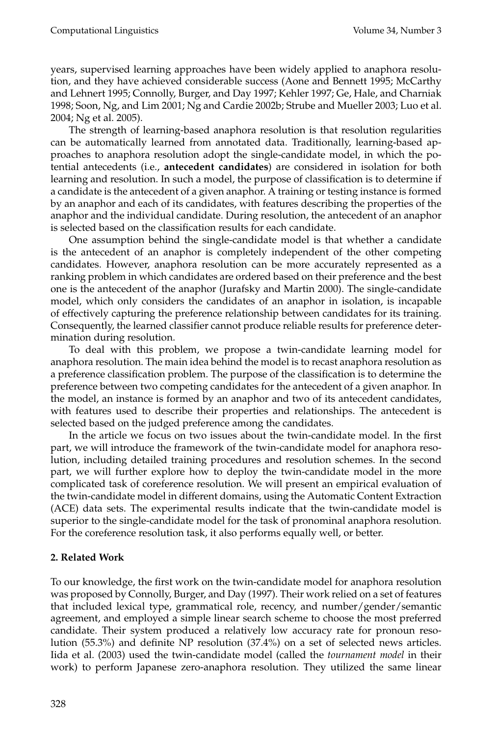years, supervised learning approaches have been widely applied to anaphora resolution, and they have achieved considerable success (Aone and Bennett 1995; McCarthy and Lehnert 1995; Connolly, Burger, and Day 1997; Kehler 1997; Ge, Hale, and Charniak 1998; Soon, Ng, and Lim 2001; Ng and Cardie 2002b; Strube and Mueller 2003; Luo et al. 2004; Ng et al. 2005).

The strength of learning-based anaphora resolution is that resolution regularities can be automatically learned from annotated data. Traditionally, learning-based approaches to anaphora resolution adopt the single-candidate model, in which the potential antecedents (i.e., **antecedent candidates**) are considered in isolation for both learning and resolution. In such a model, the purpose of classification is to determine if a candidate is the antecedent of a given anaphor. A training or testing instance is formed by an anaphor and each of its candidates, with features describing the properties of the anaphor and the individual candidate. During resolution, the antecedent of an anaphor is selected based on the classification results for each candidate.

One assumption behind the single-candidate model is that whether a candidate is the antecedent of an anaphor is completely independent of the other competing candidates. However, anaphora resolution can be more accurately represented as a ranking problem in which candidates are ordered based on their preference and the best one is the antecedent of the anaphor (Jurafsky and Martin 2000). The single-candidate model, which only considers the candidates of an anaphor in isolation, is incapable of effectively capturing the preference relationship between candidates for its training. Consequently, the learned classifier cannot produce reliable results for preference determination during resolution.

To deal with this problem, we propose a twin-candidate learning model for anaphora resolution. The main idea behind the model is to recast anaphora resolution as a preference classification problem. The purpose of the classification is to determine the preference between two competing candidates for the antecedent of a given anaphor. In the model, an instance is formed by an anaphor and two of its antecedent candidates, with features used to describe their properties and relationships. The antecedent is selected based on the judged preference among the candidates.

In the article we focus on two issues about the twin-candidate model. In the first part, we will introduce the framework of the twin-candidate model for anaphora resolution, including detailed training procedures and resolution schemes. In the second part, we will further explore how to deploy the twin-candidate model in the more complicated task of coreference resolution. We will present an empirical evaluation of the twin-candidate model in different domains, using the Automatic Content Extraction (ACE) data sets. The experimental results indicate that the twin-candidate model is superior to the single-candidate model for the task of pronominal anaphora resolution. For the coreference resolution task, it also performs equally well, or better.

## **2. Related Work**

To our knowledge, the first work on the twin-candidate model for anaphora resolution was proposed by Connolly, Burger, and Day (1997). Their work relied on a set of features that included lexical type, grammatical role, recency, and number/gender/semantic agreement, and employed a simple linear search scheme to choose the most preferred candidate. Their system produced a relatively low accuracy rate for pronoun resolution (55.3%) and definite NP resolution (37.4%) on a set of selected news articles. Iida et al. (2003) used the twin-candidate model (called the *tournament model* in their work) to perform Japanese zero-anaphora resolution. They utilized the same linear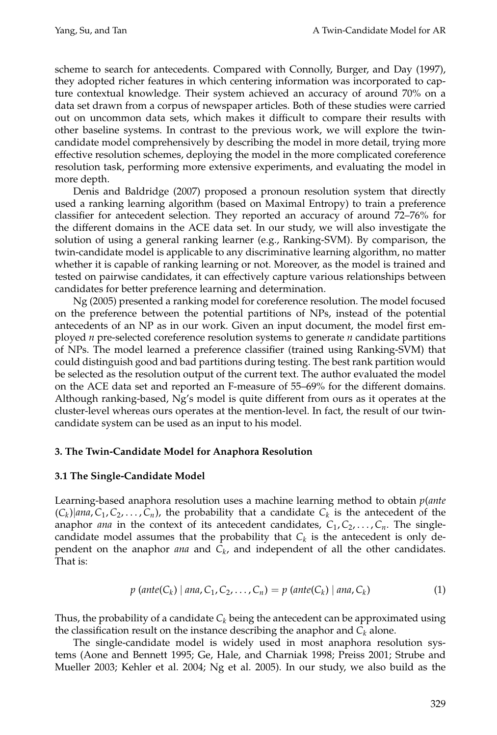scheme to search for antecedents. Compared with Connolly, Burger, and Day (1997), they adopted richer features in which centering information was incorporated to capture contextual knowledge. Their system achieved an accuracy of around 70% on a data set drawn from a corpus of newspaper articles. Both of these studies were carried out on uncommon data sets, which makes it difficult to compare their results with other baseline systems. In contrast to the previous work, we will explore the twincandidate model comprehensively by describing the model in more detail, trying more effective resolution schemes, deploying the model in the more complicated coreference resolution task, performing more extensive experiments, and evaluating the model in more depth.

Denis and Baldridge (2007) proposed a pronoun resolution system that directly used a ranking learning algorithm (based on Maximal Entropy) to train a preference classifier for antecedent selection. They reported an accuracy of around 72–76% for the different domains in the ACE data set. In our study, we will also investigate the solution of using a general ranking learner (e.g., Ranking-SVM). By comparison, the twin-candidate model is applicable to any discriminative learning algorithm, no matter whether it is capable of ranking learning or not. Moreover, as the model is trained and tested on pairwise candidates, it can effectively capture various relationships between candidates for better preference learning and determination.

Ng (2005) presented a ranking model for coreference resolution. The model focused on the preference between the potential partitions of NPs, instead of the potential antecedents of an NP as in our work. Given an input document, the model first employed *n* pre-selected coreference resolution systems to generate *n* candidate partitions of NPs. The model learned a preference classifier (trained using Ranking-SVM) that could distinguish good and bad partitions during testing. The best rank partition would be selected as the resolution output of the current text. The author evaluated the model on the ACE data set and reported an F-measure of 55–69% for the different domains. Although ranking-based, Ng's model is quite different from ours as it operates at the cluster-level whereas ours operates at the mention-level. In fact, the result of our twincandidate system can be used as an input to his model.

## **3. The Twin-Candidate Model for Anaphora Resolution**

## **3.1 The Single-Candidate Model**

Learning-based anaphora resolution uses a machine learning method to obtain *p*(*ante*  $(C_k)|$ *ana*,  $C_1, C_2, \ldots, C_n$ , the probability that a candidate  $C_k$  is the antecedent of the anaphor *ana* in the context of its antecedent candidates,  $C_1, C_2, \ldots, C_n$ . The singlecandidate model assumes that the probability that  $C_k$  is the antecedent is only dependent on the anaphor *ana* and  $C_k$ , and independent of all the other candidates. That is:

$$
p(\text{ante}(C_k) | \text{ana}, C_1, C_2, ..., C_n) = p(\text{ante}(C_k) | \text{ana}, C_k)
$$
 (1)

Thus, the probability of a candidate  $C_k$  being the antecedent can be approximated using the classification result on the instance describing the anaphor and  $C_k$  alone.

The single-candidate model is widely used in most anaphora resolution systems (Aone and Bennett 1995; Ge, Hale, and Charniak 1998; Preiss 2001; Strube and Mueller 2003; Kehler et al. 2004; Ng et al. 2005). In our study, we also build as the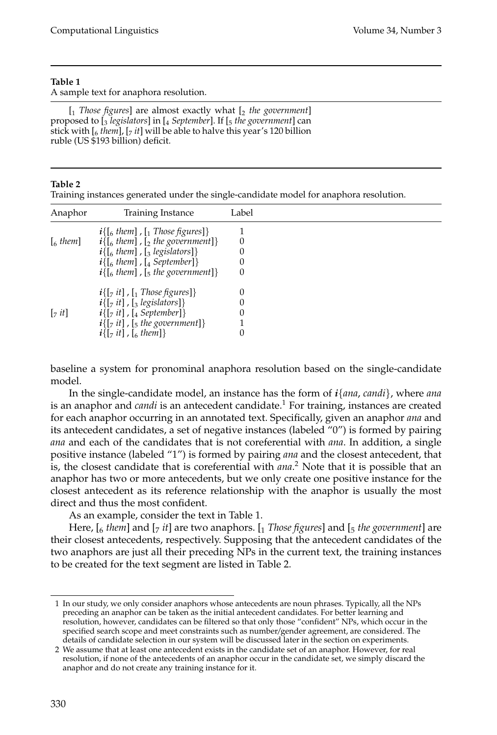A sample text for anaphora resolution.

[1 *Those figures*] are almost exactly what [2 *the government*] proposed to [3 *legislators*] in [4 *September*]. If [5 *the government*] can stick with  $\left[\begin{smallmatrix}6\\ 4 \end{smallmatrix}\right]$ ,  $\left[\begin{smallmatrix}7 \\ 7 \end{smallmatrix}\right]$  will be able to halve this year's 120 billion ruble (US \$193 billion) deficit.

## **Table 2**

Training instances generated under the single-candidate model for anaphora resolution.

| Anaphor                                                   | Training Instance                                                     | Label |  |
|-----------------------------------------------------------|-----------------------------------------------------------------------|-------|--|
|                                                           | $i\{$ [6 them], [1 Those figures]}                                    |       |  |
| $\left[$ <sub>6</sub> them $\right]$                      | $i\{$ [6 them], [2 the government]}                                   | 0     |  |
|                                                           | $i\{$ [6 them], [3 legislators]}                                      | 0     |  |
|                                                           | $i\{$ [6 them], [4 September]}                                        | 0     |  |
|                                                           | $i\{$ [6 them], [5 the government]}                                   | 0     |  |
|                                                           | $i\{[\tau it]$ , $[\tau$ Those figures] }                             | 0     |  |
|                                                           | $i\{[\tau it], [\tau] \}$ , [algoral] [3]                             | 0     |  |
| $\left[\begin{smallmatrix}7 & it\end{smallmatrix}\right]$ | $i\{r_1$ it], $r_4$ September                                         | 0     |  |
|                                                           | $\boldsymbol{i}$ {[ <sub>7</sub> it], [ <sub>5</sub> the government]} |       |  |
|                                                           | $i\{[\,7\ it]\}$ , $[\,6\ then]\}$                                    | 0     |  |

baseline a system for pronominal anaphora resolution based on the single-candidate model.

In the single-candidate model, an instance has the form of *i*{*ana*, *candi*}, where *ana* is an anaphor and *candi* is an antecedent candidate.<sup>1</sup> For training, instances are created for each anaphor occurring in an annotated text. Specifically, given an anaphor *ana* and its antecedent candidates, a set of negative instances (labeled "0") is formed by pairing *ana* and each of the candidates that is not coreferential with *ana*. In addition, a single positive instance (labeled "1") is formed by pairing *ana* and the closest antecedent, that is, the closest candidate that is coreferential with *ana*. <sup>2</sup> Note that it is possible that an anaphor has two or more antecedents, but we only create one positive instance for the closest antecedent as its reference relationship with the anaphor is usually the most direct and thus the most confident.

As an example, consider the text in Table 1.

Here,  $\begin{bmatrix} 6 \text{ them} \end{bmatrix}$  and  $\begin{bmatrix} 7 \text{ it} \end{bmatrix}$  are two anaphors.  $\begin{bmatrix} 1 \text{ Those figures} \end{bmatrix}$  and  $\begin{bmatrix} 5 \text{ the government} \end{bmatrix}$  are their closest antecedents, respectively. Supposing that the antecedent candidates of the two anaphors are just all their preceding NPs in the current text, the training instances to be created for the text segment are listed in Table 2.

<sup>1</sup> In our study, we only consider anaphors whose antecedents are noun phrases. Typically, all the NPs preceding an anaphor can be taken as the initial antecedent candidates. For better learning and resolution, however, candidates can be filtered so that only those "confident" NPs, which occur in the specified search scope and meet constraints such as number/gender agreement, are considered. The details of candidate selection in our system will be discussed later in the section on experiments.

<sup>2</sup> We assume that at least one antecedent exists in the candidate set of an anaphor. However, for real resolution, if none of the antecedents of an anaphor occur in the candidate set, we simply discard the anaphor and do not create any training instance for it.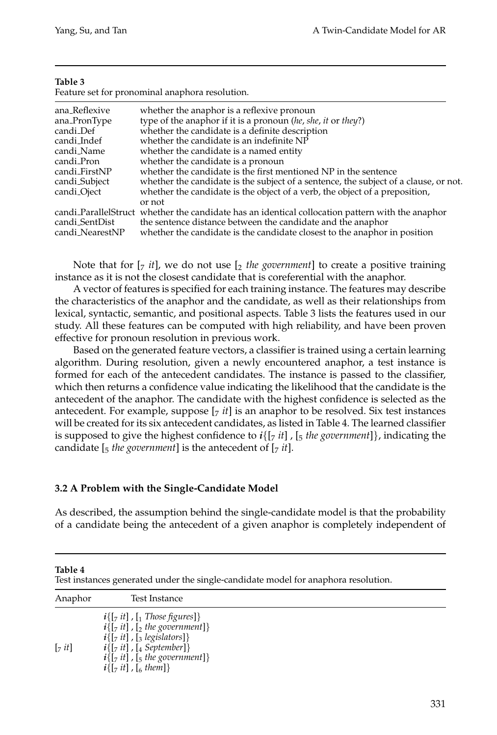| c |  |
|---|--|
|---|--|

Feature set for pronominal anaphora resolution.

| ana_Reflexive           | whether the anaphor is a reflexive pronoun                                                        |
|-------------------------|---------------------------------------------------------------------------------------------------|
| ana_PronType            | type of the anaphor if it is a pronoun (he, she, it or they?)                                     |
| candi_Def               | whether the candidate is a definite description                                                   |
| candi_Indef             | whether the candidate is an indefinite NP                                                         |
| candi_Name              | whether the candidate is a named entity                                                           |
| candi_Pron              | whether the candidate is a pronoun                                                                |
| candi_FirstNP           | whether the candidate is the first mentioned NP in the sentence                                   |
| candi_Subject           | whether the candidate is the subject of a sentence, the subject of a clause, or not.              |
| candi <sub>-Oject</sub> | whether the candidate is the object of a verb, the object of a preposition,                       |
|                         | or not                                                                                            |
|                         | candi Parallel Struct whether the candidate has an identical collocation pattern with the anaphor |
| candi_SentDist          | the sentence distance between the candidate and the anaphor                                       |
| candi_NearestNP         | whether the candidate is the candidate closest to the anaphor in position                         |

Note that for  $[\gamma$  *it*], we do not use  $[\gamma$  *the government*] to create a positive training instance as it is not the closest candidate that is coreferential with the anaphor.

A vector of features is specified for each training instance. The features may describe the characteristics of the anaphor and the candidate, as well as their relationships from lexical, syntactic, semantic, and positional aspects. Table 3 lists the features used in our study. All these features can be computed with high reliability, and have been proven effective for pronoun resolution in previous work.

Based on the generated feature vectors, a classifier is trained using a certain learning algorithm. During resolution, given a newly encountered anaphor, a test instance is formed for each of the antecedent candidates. The instance is passed to the classifier, which then returns a confidence value indicating the likelihood that the candidate is the antecedent of the anaphor. The candidate with the highest confidence is selected as the antecedent. For example, suppose  $[z<sub>i</sub>it]$  is an anaphor to be resolved. Six test instances will be created for its six antecedent candidates, as listed in Table 4. The learned classifier is supposed to give the highest confidence to  $i\{[\tau \, it]$ ,  $[\tau \, the \, government]\}$ , indicating the candidate  $\left[\frac{1}{2}$  *the government*] is the antecedent of  $\left[\frac{1}{2}$  *it*].

## **3.2 A Problem with the Single-Candidate Model**

As described, the assumption behind the single-candidate model is that the probability of a candidate being the antecedent of a given anaphor is completely independent of

**Table 4**

Test instances generated under the single-candidate model for anaphora resolution.

| Anaphor                | Test Instance                                                                                                                                                                                                                                                                                |  |
|------------------------|----------------------------------------------------------------------------------------------------------------------------------------------------------------------------------------------------------------------------------------------------------------------------------------------|--|
| $\lceil z$ it $\rceil$ | $i\{[\tau it]$ , $[\tau$ Those figures] }<br>$\mathbf{i}$ {[ <sub>7</sub> it], [ <sub>2</sub> the government]}<br>$i\{[\tau it], [\tau] \}$ , $[\tau]$ legislators]}<br>$i\{[\tau it]$ , [4 September]}<br>$i\{[\tau it]$ , $[\tau t]$ , the government]}<br>$i\{[\tau_{7} it]$ , [6 them] } |  |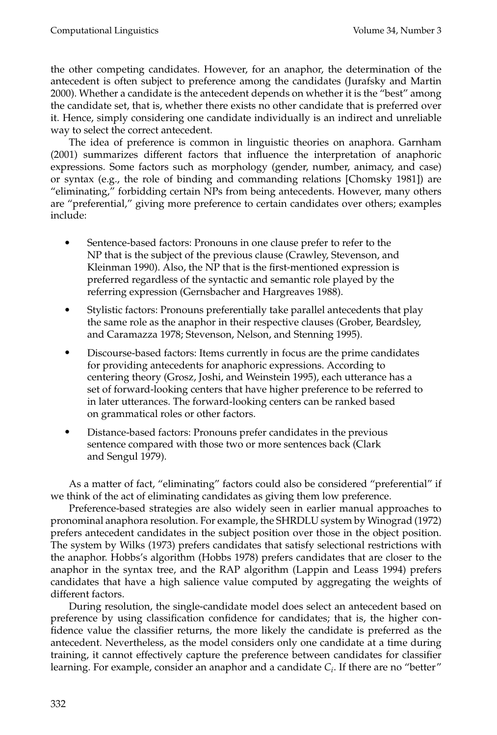the other competing candidates. However, for an anaphor, the determination of the antecedent is often subject to preference among the candidates (Jurafsky and Martin 2000). Whether a candidate is the antecedent depends on whether it is the "best" among the candidate set, that is, whether there exists no other candidate that is preferred over it. Hence, simply considering one candidate individually is an indirect and unreliable way to select the correct antecedent.

The idea of preference is common in linguistic theories on anaphora. Garnham (2001) summarizes different factors that influence the interpretation of anaphoric expressions. Some factors such as morphology (gender, number, animacy, and case) or syntax (e.g., the role of binding and commanding relations [Chomsky 1981]) are "eliminating," forbidding certain NPs from being antecedents. However, many others are "preferential," giving more preference to certain candidates over others; examples include:

- Sentence-based factors: Pronouns in one clause prefer to refer to the NP that is the subject of the previous clause (Crawley, Stevenson, and Kleinman 1990). Also, the NP that is the first-mentioned expression is preferred regardless of the syntactic and semantic role played by the referring expression (Gernsbacher and Hargreaves 1988).
- Stylistic factors: Pronouns preferentially take parallel antecedents that play the same role as the anaphor in their respective clauses (Grober, Beardsley, and Caramazza 1978; Stevenson, Nelson, and Stenning 1995).
- Discourse-based factors: Items currently in focus are the prime candidates for providing antecedents for anaphoric expressions. According to centering theory (Grosz, Joshi, and Weinstein 1995), each utterance has a set of forward-looking centers that have higher preference to be referred to in later utterances. The forward-looking centers can be ranked based on grammatical roles or other factors.
- Distance-based factors: Pronouns prefer candidates in the previous sentence compared with those two or more sentences back (Clark and Sengul 1979).

As a matter of fact, "eliminating" factors could also be considered "preferential" if we think of the act of eliminating candidates as giving them low preference.

Preference-based strategies are also widely seen in earlier manual approaches to pronominal anaphora resolution. For example, the SHRDLU system by Winograd (1972) prefers antecedent candidates in the subject position over those in the object position. The system by Wilks (1973) prefers candidates that satisfy selectional restrictions with the anaphor. Hobbs's algorithm (Hobbs 1978) prefers candidates that are closer to the anaphor in the syntax tree, and the RAP algorithm (Lappin and Leass 1994) prefers candidates that have a high salience value computed by aggregating the weights of different factors.

During resolution, the single-candidate model does select an antecedent based on preference by using classification confidence for candidates; that is, the higher confidence value the classifier returns, the more likely the candidate is preferred as the antecedent. Nevertheless, as the model considers only one candidate at a time during training, it cannot effectively capture the preference between candidates for classifier learning. For example, consider an anaphor and a candidate *Ci*. If there are no "better"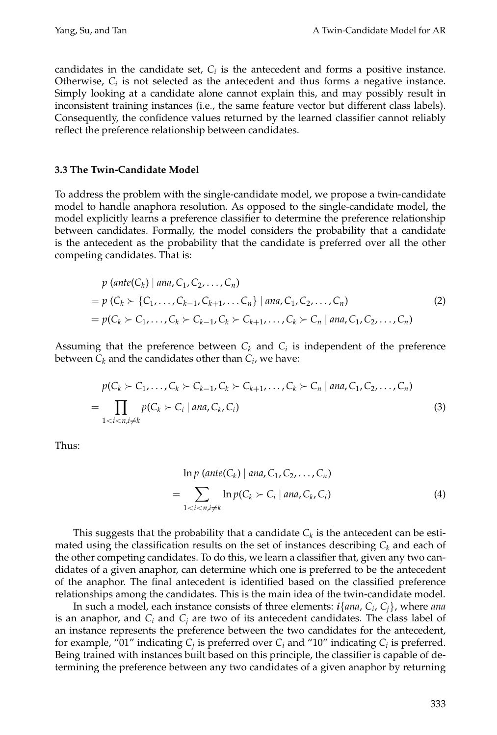candidates in the candidate set,  $C_i$  is the antecedent and forms a positive instance. Otherwise, *Ci* is not selected as the antecedent and thus forms a negative instance. Simply looking at a candidate alone cannot explain this, and may possibly result in inconsistent training instances (i.e., the same feature vector but different class labels). Consequently, the confidence values returned by the learned classifier cannot reliably reflect the preference relationship between candidates.

## **3.3 The Twin-Candidate Model**

To address the problem with the single-candidate model, we propose a twin-candidate model to handle anaphora resolution. As opposed to the single-candidate model, the model explicitly learns a preference classifier to determine the preference relationship between candidates. Formally, the model considers the probability that a candidate is the antecedent as the probability that the candidate is preferred over all the other competing candidates. That is:

$$
p (\text{ante}(C_k) | \text{ ana}, C_1, C_2, \dots, C_n)
$$
  
=  $p (C_k \succ \{C_1, \dots, C_{k-1}, C_{k+1}, \dots, C_n\} | \text{ana}, C_1, C_2, \dots, C_n)$  (2)  
=  $p(C_k \succ C_1, \dots, C_k \succ C_{k-1}, C_k \succ C_{k+1}, \dots, C_k \succ C_n | \text{ana}, C_1, C_2, \dots, C_n)$ 

Assuming that the preference between  $C_k$  and  $C_i$  is independent of the preference between  $C_k$  and the candidates other than  $C_i$ , we have:

$$
p(C_k \succ C_1, \ldots, C_k \succ C_{k-1}, C_k \succ C_{k+1}, \ldots, C_k \succ C_n \mid \text{ana}, C_1, C_2, \ldots, C_n)
$$
  
= 
$$
\prod_{1 < i < n, i \neq k} p(C_k \succ C_i \mid \text{ana}, C_k, C_i)
$$
 (3)

Thus:

$$
\ln p \left(\text{ante}(C_k) \mid \text{ana}, C_1, C_2, \dots, C_n\right)
$$
\n
$$
= \sum_{1 < i < n, i \neq k} \ln p(C_k > C_i \mid \text{ana}, C_k, C_i) \tag{4}
$$

This suggests that the probability that a candidate  $C_k$  is the antecedent can be estimated using the classification results on the set of instances describing  $C_k$  and each of the other competing candidates. To do this, we learn a classifier that, given any two candidates of a given anaphor, can determine which one is preferred to be the antecedent of the anaphor. The final antecedent is identified based on the classified preference relationships among the candidates. This is the main idea of the twin-candidate model.

In such a model, each instance consists of three elements: *i*{*ana*, *Ci*, *Cj*}, where *ana* is an anaphor, and  $C_i$  and  $C_j$  are two of its antecedent candidates. The class label of an instance represents the preference between the two candidates for the antecedent, for example, "01" indicating  $C_i$  is preferred over  $C_i$  and "10" indicating  $C_i$  is preferred. Being trained with instances built based on this principle, the classifier is capable of determining the preference between any two candidates of a given anaphor by returning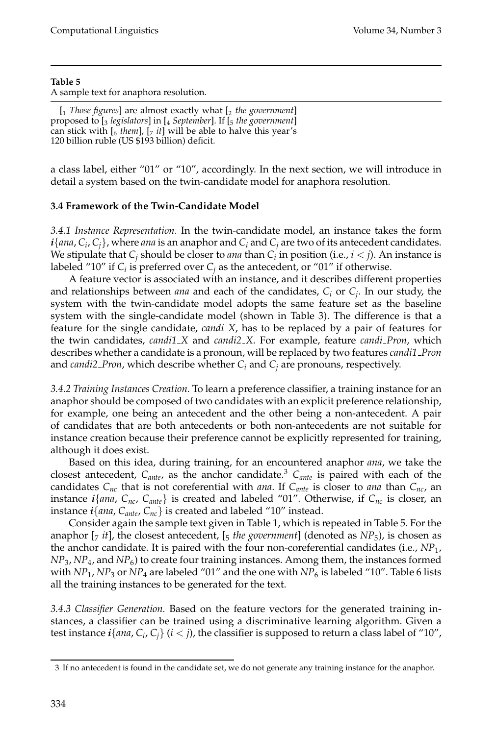A sample text for anaphora resolution.

[1 *Those figures*] are almost exactly what [2 *the government*] proposed to [3 *legislators*] in [4 *September*]. If [5 *the government*] can stick with  $\begin{bmatrix} 6 & \text{them} \end{bmatrix}$ ,  $\begin{bmatrix} 7 & \text{it} \end{bmatrix}$  will be able to halve this year's 120 billion ruble (US \$193 billion) deficit.

a class label, either "01" or "10", accordingly. In the next section, we will introduce in detail a system based on the twin-candidate model for anaphora resolution.

## **3.4 Framework of the Twin-Candidate Model**

*3.4.1 Instance Representation.* In the twin-candidate model, an instance takes the form *i*{*ana*, *Ci*, *Cj*}, where *ana* is an anaphor and *Ci* and *Cj* are two of its antecedent candidates. We stipulate that  $C_i$  should be closer to *ana* than  $C_i$  in position (i.e.,  $i < j$ ). An instance is labeled "10" if  $C_i$  is preferred over  $C_i$  as the antecedent, or "01" if otherwise.

A feature vector is associated with an instance, and it describes different properties and relationships between *ana* and each of the candidates, *Ci* or *Cj*. In our study, the system with the twin-candidate model adopts the same feature set as the baseline system with the single-candidate model (shown in Table 3). The difference is that a feature for the single candidate, *candi X*, has to be replaced by a pair of features for the twin candidates, *candi1 X* and *candi2 X*. For example, feature *candi Pron*, which describes whether a candidate is a pronoun, will be replaced by two features *candi1 Pron* and *candi2 Pron*, which describe whether *Ci* and *Cj* are pronouns, respectively.

*3.4.2 Training Instances Creation.* To learn a preference classifier, a training instance for an anaphor should be composed of two candidates with an explicit preference relationship, for example, one being an antecedent and the other being a non-antecedent. A pair of candidates that are both antecedents or both non-antecedents are not suitable for instance creation because their preference cannot be explicitly represented for training, although it does exist.

Based on this idea, during training, for an encountered anaphor *ana*, we take the closest antecedent, C<sub>ante</sub>, as the anchor candidate.<sup>3</sup> C<sub>ante</sub> is paired with each of the candidates  $C_{nc}$  that is not coreferential with *ana*. If  $C_{ant}$  is closer to *ana* than  $C_{nc}$ , an instance  $i$ {*ana*,  $C_{nc}$ ,  $C_{ant}$ } is created and labeled "01". Otherwise, if  $C_{nc}$  is closer, an instance  $i\{ana, C_{ante}, C_{nc}\}$  is created and labeled "10" instead.

Consider again the sample text given in Table 1, which is repeated in Table 5. For the anaphor  $[\gamma$  *it*], the closest antecedent,  $[\gamma$  *the government*] (denoted as  $NP_5$ ), is chosen as the anchor candidate. It is paired with the four non-coreferential candidates (i.e., *NP*1, *NP*<sub>3</sub>, *NP*<sub>4</sub>, and *NP*<sub>6</sub>) to create four training instances. Among them, the instances formed with  $NP_1$ ,  $NP_3$  or  $NP_4$  are labeled "01" and the one with  $NP_6$  is labeled "10". Table 6 lists all the training instances to be generated for the text.

*3.4.3 Classifier Generation.* Based on the feature vectors for the generated training instances, a classifier can be trained using a discriminative learning algorithm. Given a test instance  $i\{ana, C_i, C_j\}$  ( $i < j$ ), the classifier is supposed to return a class label of "10",

<sup>3</sup> If no antecedent is found in the candidate set, we do not generate any training instance for the anaphor.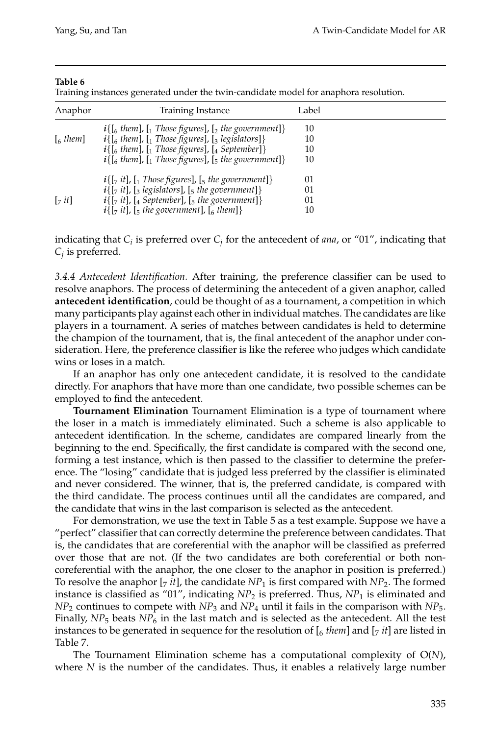Training instances generated under the twin-candidate model for anaphora resolution.

| Anaphor           | Training Instance                                                                                         | Label |  |
|-------------------|-----------------------------------------------------------------------------------------------------------|-------|--|
|                   | $i\{[\delta_{6} \text{ them}], [\delta_{1} \text{ Those figures}], [\delta_{2} \text{ the government}]\}$ | 10    |  |
| $\lceil_{6}$ them | $i\{$ [6 them], [1 Those figures], [3 legislators]}                                                       | 10    |  |
|                   | $i\{$ [6 them], [1 Those figures], [4 September]]                                                         | 10    |  |
|                   | $i\{$ [6 them], [1 Those figures], [5 the government]}                                                    | 10    |  |
|                   | $i\{[\tau_{7} it], [\tau_{1}]\}$ Those figures], $[\tau_{5}]\$ the government]}                           | 01    |  |
|                   | $i\{[\tau_7 it], [\tau_3]$ legislators], $[\tau_5]$ the government]}                                      | 01    |  |
| $\lceil z$ it]    | $i\{[\tau_{7} it], [\tau_{4} September], [\tau_{5} the government]\}$                                     | 01    |  |
|                   | $i\{[\tau it], [\tau]$ , if the government], $[\tau]$ them]}                                              | 10    |  |

indicating that *Ci* is preferred over *Cj* for the antecedent of *ana*, or "01", indicating that *Cj* is preferred.

*3.4.4 Antecedent Identification.* After training, the preference classifier can be used to resolve anaphors. The process of determining the antecedent of a given anaphor, called **antecedent identification**, could be thought of as a tournament, a competition in which many participants play against each other in individual matches. The candidates are like players in a tournament. A series of matches between candidates is held to determine the champion of the tournament, that is, the final antecedent of the anaphor under consideration. Here, the preference classifier is like the referee who judges which candidate wins or loses in a match.

If an anaphor has only one antecedent candidate, it is resolved to the candidate directly. For anaphors that have more than one candidate, two possible schemes can be employed to find the antecedent.

**Tournament Elimination** Tournament Elimination is a type of tournament where the loser in a match is immediately eliminated. Such a scheme is also applicable to antecedent identification. In the scheme, candidates are compared linearly from the beginning to the end. Specifically, the first candidate is compared with the second one, forming a test instance, which is then passed to the classifier to determine the preference. The "losing" candidate that is judged less preferred by the classifier is eliminated and never considered. The winner, that is, the preferred candidate, is compared with the third candidate. The process continues until all the candidates are compared, and the candidate that wins in the last comparison is selected as the antecedent.

For demonstration, we use the text in Table 5 as a test example. Suppose we have a "perfect" classifier that can correctly determine the preference between candidates. That is, the candidates that are coreferential with the anaphor will be classified as preferred over those that are not. (If the two candidates are both coreferential or both noncoreferential with the anaphor, the one closer to the anaphor in position is preferred.) To resolve the anaphor  $[\tau_j$  *it*], the candidate  $NP_1$  is first compared with  $NP_2$ . The formed instance is classified as "01", indicating *NP*<sup>2</sup> is preferred. Thus, *NP*<sup>1</sup> is eliminated and *NP*<sup>2</sup> continues to compete with *NP*<sup>3</sup> and *NP*<sup>4</sup> until it fails in the comparison with *NP*5. Finally,  $NP_5$  beats  $NP_6$  in the last match and is selected as the antecedent. All the test instances to be generated in sequence for the resolution of  $\left[\frac{6}{3}$  *them*] and  $\left[\frac{7}{7}$  *it*] are listed in Table 7.

The Tournament Elimination scheme has a computational complexity of O(*N*), where *N* is the number of the candidates. Thus, it enables a relatively large number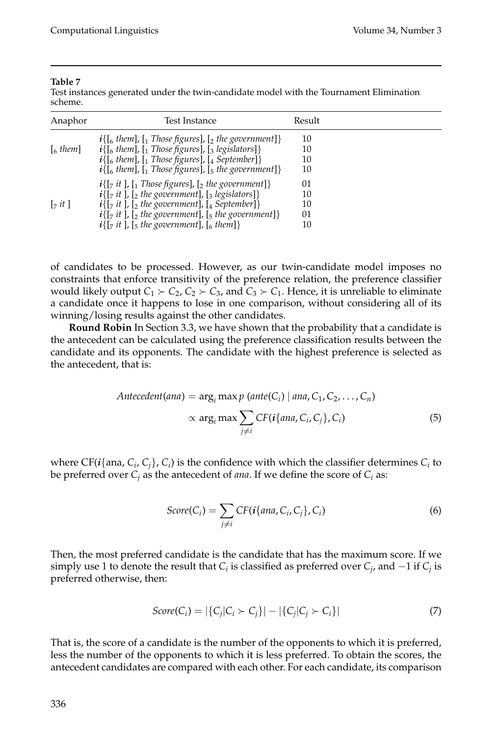Test instances generated under the twin-candidate model with the Tournament Elimination scheme.

| Anaphor                    | Test Instance                                                                                                                                                                                                                                                                                                                                                                                                           | Result                          |  |
|----------------------------|-------------------------------------------------------------------------------------------------------------------------------------------------------------------------------------------------------------------------------------------------------------------------------------------------------------------------------------------------------------------------------------------------------------------------|---------------------------------|--|
| $\left[$ <sub>6</sub> them | $i\{[\begin{bmatrix} 6 \end{bmatrix}, [\begin{bmatrix} 1 \end{bmatrix}]\}$ Those figures], $[\begin{bmatrix} 2 \end{bmatrix}]$ the government]<br>$i\{[\begin{bmatrix}6 \\ 1 \end{bmatrix}, [\begin{bmatrix}1 \\ 1 \end{bmatrix}]\}$ [3 legislators]]<br>$i\{$ [6 them], [1 Those figures], [4 September]}<br>$i\{[\delta_{6} \text{ them}], [\delta_{1} \text{ Those figures}], [\delta_{5} \text{ the government}]\}$ | 10<br>10<br>10<br>10            |  |
| $\lceil z$ it $\rceil$     | $i\{[\tau_{7} it]\}$ , $[\tau_{1}$ Those figures], $[\tau_{2}$ the government]}<br>$i\{[\tau_{7} it]\}$ , [2 the government], [3 legislators]}<br>$i\{[\tau_{7} it]$ , $[\tau_{2} the government]$ , $[\tau_{4} September]\}$<br>$i\{[\tau it]$ , $[\tau]$ the government], $[\tau]$ the government]}<br>$i\{[\tau_{7} it]$ , $[\tau_{5} the government]$ , $[\tau_{6} them]\}$                                         | 01<br>10<br>10<br>$_{01}$<br>10 |  |

of candidates to be processed. However, as our twin-candidate model imposes no constraints that enforce transitivity of the preference relation, the preference classifier would likely output  $C_1 \succ C_2$ ,  $C_2 \succ C_3$ , and  $C_3 \succ C_1$ . Hence, it is unreliable to eliminate a candidate once it happens to lose in one comparison, without considering all of its winning/losing results against the other candidates.

**Round Robin** In Section 3.3, we have shown that the probability that a candidate is the antecedent can be calculated using the preference classification results between the candidate and its opponents. The candidate with the highest preference is selected as the antecedent, that is:

$$
Antecedent(ana) = \arg_i \max p \ (ante(C_i) \mid ana, C_1, C_2, \dots, C_n)
$$

$$
\propto \arg_i \max \sum_{j \neq i} CF(i \{ ana, C_i, C_j\}, C_i)
$$
(5)

where  $CF(i \{ \text{ana}, C_i, C_i\}, C_i)$  is the confidence with which the classifier determines  $C_i$  to be preferred over  $C_j$  as the antecedent of *ana*. If we define the score of  $C_i$  as:

$$
Score(C_i) = \sum_{j \neq i} CF(i\{ana, C_i, C_j\}, C_i)
$$
\n(6)

Then, the most preferred candidate is the candidate that has the maximum score. If we simply use 1 to denote the result that  $C_i$  is classified as preferred over  $C_j$ , and  $-1$  if  $C_j$  is preferred otherwise, then:

$$
Score(C_i) = |\{C_j|C_i \succ C_j\}| - |\{C_j|C_j \succ C_i\}| \tag{7}
$$

That is, the score of a candidate is the number of the opponents to which it is preferred, less the number of the opponents to which it is less preferred. To obtain the scores, the antecedent candidates are compared with each other. For each candidate, its comparison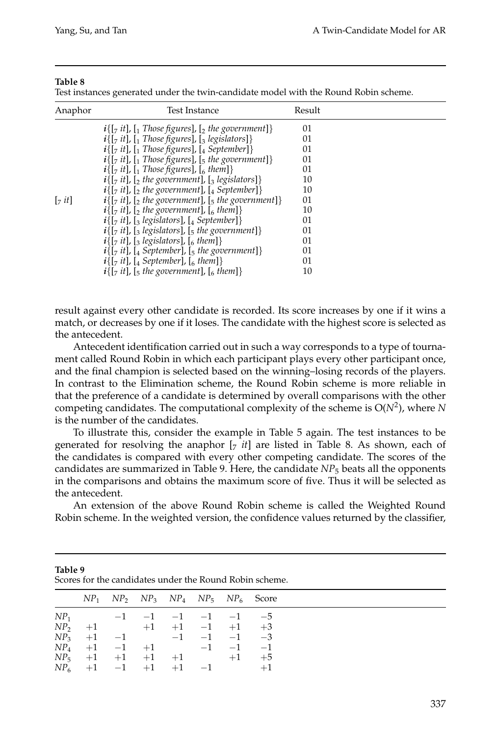| able |  |
|------|--|
|------|--|

Test instances generated under the twin-candidate model with the Round Robin scheme.

| Anaphor                | Test Instance                                                                         | Result |  |
|------------------------|---------------------------------------------------------------------------------------|--------|--|
|                        | $i\{[\tau_{\tau} it], [\tau_{\tau}]$ Those figures], $[\tau_{\tau}]$ the government]} | 01     |  |
|                        | $i\{[\tau_{\tau} it], [\tau_{\tau}] \}$ Those figures], $[\tau_{\tau}]$ legislators]} | 01     |  |
|                        | $i\{[\tau_{7} it], [\tau_{1}]\}$ Those figures], $[\tau_{4}]\$ September]}            | 01     |  |
|                        | $i\{[\tau it], [\tau] \}$ Those figures], $[\tau]$ the government]}                   | 01     |  |
|                        | $i\{[\tau_{\tau} it]$ , $[\tau_{\tau}]$ Those figures], $[\tau_{\tau}]$ them]}        | 01     |  |
|                        | $i\{[\tau_{7} it], [\tau_{2} the government], [\tau_{3}~legislators]\}\$              | 10     |  |
|                        | $i\{[\tau it], [\tau]$ the government], $[\tau]$ September]}                          | 10     |  |
| $\lceil z$ it $\rceil$ | $i\{[\tau_{7}, it], [\tau_{2}, the government], [\tau_{5}, the government]\}\$        | 01     |  |
|                        | $i\{[\tau it], [\tau]$ the government], $[\tau]$ them]}                               | 10     |  |
|                        | $i\{[\tau_{7} it], [\tau_{3}]$ legislators], $[\tau_{4}]$ September]}                 | 01     |  |
|                        | $i\{[\tau it], [\tau is] \}$ , [3 legislators], [5 the government]}                   | 01     |  |
|                        | $i\{[\tau_{7} it], [\tau_{3}]$ legislators], $[\tau_{6}]$ them]}                      | 01     |  |
|                        | $i\{[\tau it], [\tau] \in \mathcal{E}\}$ [5 the government]}                          | 01     |  |
|                        | $i\{[\tau it], [\tau] \in \mathcal{E}$ September], $[\tau]$ them]}                    | 01     |  |
|                        | $i\{[\tau_{7} it], [\tau_{5} the government], [\tau_{6} them]\}$                      | 10     |  |

result against every other candidate is recorded. Its score increases by one if it wins a match, or decreases by one if it loses. The candidate with the highest score is selected as the antecedent.

Antecedent identification carried out in such a way corresponds to a type of tournament called Round Robin in which each participant plays every other participant once, and the final champion is selected based on the winning–losing records of the players. In contrast to the Elimination scheme, the Round Robin scheme is more reliable in that the preference of a candidate is determined by overall comparisons with the other competing candidates. The computational complexity of the scheme is  $O(N^2)$ , where *N* is the number of the candidates.

To illustrate this, consider the example in Table 5 again. The test instances to be generated for resolving the anaphor  $[\tau$  *it*] are listed in Table 8. As shown, each of the candidates is compared with every other competing candidate. The scores of the candidates are summarized in Table 9. Here, the candidate *NP*<sup>5</sup> beats all the opponents in the comparisons and obtains the maximum score of five. Thus it will be selected as the antecedent.

An extension of the above Round Robin scheme is called the Weighted Round Robin scheme. In the weighted version, the confidence values returned by the classifier,

| Table 9<br>Scores for the candidates under the Round Robin scheme. |                          |  |  |  |      |                                          |  |
|--------------------------------------------------------------------|--------------------------|--|--|--|------|------------------------------------------|--|
| NP <sub>1</sub>                                                    |                          |  |  |  |      | $NP_2$ $NP_3$ $NP_4$ $NP_5$ $NP_6$ Score |  |
|                                                                    | $NP_1$ -1 -1 -1 -1 -1 -5 |  |  |  |      |                                          |  |
|                                                                    | $NP_2$ +1 +1 +1 -1 +1 +3 |  |  |  |      |                                          |  |
|                                                                    | $NP_3$ +1 -1 -1 -1 -1 -3 |  |  |  |      |                                          |  |
|                                                                    | $NP_4$ +1 -1 +1 -1 -1 -1 |  |  |  |      | $-1$                                     |  |
|                                                                    | $NP_5$ +1 +1 +1 +1       |  |  |  | $+1$ | $+5$                                     |  |
|                                                                    | $NP_6$ +1 -1 +1 +1 -1    |  |  |  |      | $+1$                                     |  |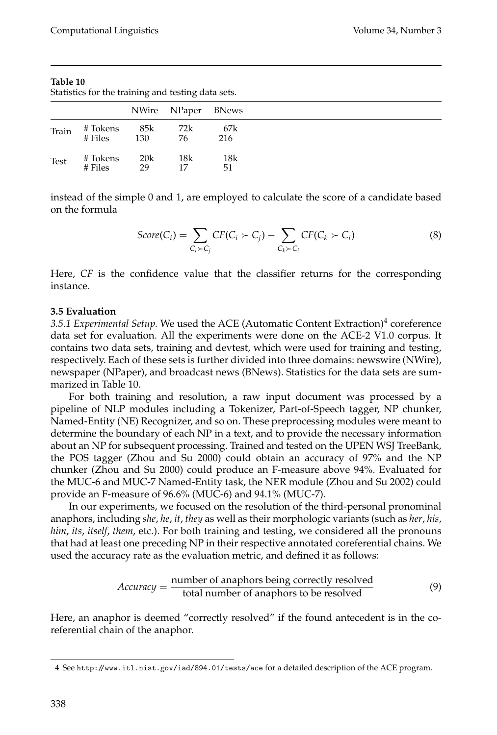Statistics for the training and testing data sets.

|       |           |     | NWire NPaper BNews |     |
|-------|-----------|-----|--------------------|-----|
| Train | # Tokens  | 85k | 72k                | 67k |
|       | $#$ Files | 130 | 76                 | 216 |
| Test  | # Tokens  | 20k | 18k                | 18k |
|       | $#$ Files | 29  | 17                 | 51  |

instead of the simple 0 and 1, are employed to calculate the score of a candidate based on the formula

$$
Score(C_i) = \sum_{C_i \succ C_j} CF(C_i \succ C_j) - \sum_{C_k \succ C_i} CF(C_k \succ C_i)
$$
\n(8)

Here, *CF* is the confidence value that the classifier returns for the corresponding instance.

## **3.5 Evaluation**

3.5.1 Experimental Setup. We used the ACE (Automatic Content Extraction)<sup>4</sup> coreference data set for evaluation. All the experiments were done on the ACE-2 V1.0 corpus. It contains two data sets, training and devtest, which were used for training and testing, respectively. Each of these sets is further divided into three domains: newswire (NWire), newspaper (NPaper), and broadcast news (BNews). Statistics for the data sets are summarized in Table 10.

For both training and resolution, a raw input document was processed by a pipeline of NLP modules including a Tokenizer, Part-of-Speech tagger, NP chunker, Named-Entity (NE) Recognizer, and so on. These preprocessing modules were meant to determine the boundary of each NP in a text, and to provide the necessary information about an NP for subsequent processing. Trained and tested on the UPEN WSJ TreeBank, the POS tagger (Zhou and Su 2000) could obtain an accuracy of 97% and the NP chunker (Zhou and Su 2000) could produce an F-measure above 94%. Evaluated for the MUC-6 and MUC-7 Named-Entity task, the NER module (Zhou and Su 2002) could provide an F-measure of 96.6% (MUC-6) and 94.1% (MUC-7).

In our experiments, we focused on the resolution of the third-personal pronominal anaphors, including *she*, *he*, *it*, *they* as well as their morphologic variants (such as *her*, *his*, *him*, *its*, *itself*, *them*, etc.). For both training and testing, we considered all the pronouns that had at least one preceding NP in their respective annotated coreferential chains. We used the accuracy rate as the evaluation metric, and defined it as follows:

$$
Accuracy = \frac{number\ of\ anaphors\ being\ correctly\ resolved}{total\ number\ of\ anaphors\ to\ be\ resolved} \tag{9}
$$

Here, an anaphor is deemed "correctly resolved" if the found antecedent is in the coreferential chain of the anaphor.

<sup>4</sup> See http://www.itl.nist.gov/iad/894.01/tests/ace for a detailed description of the ACE program.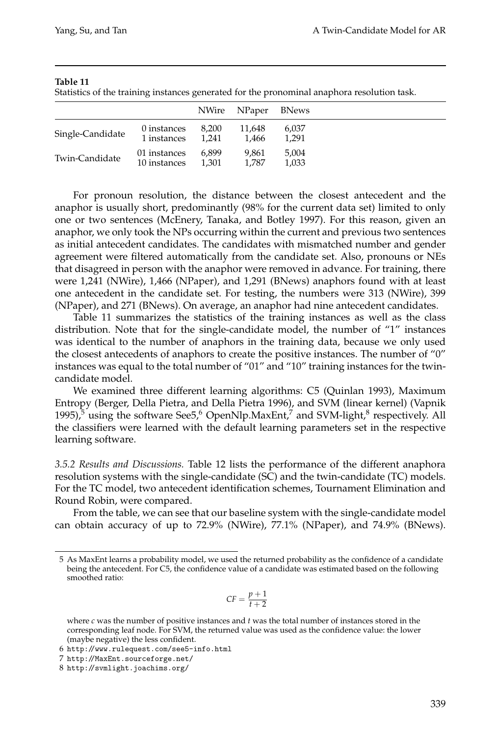Statistics of the training instances generated for the pronominal anaphora resolution task.

|                  |                              |                | NWire NPaper BNews |                |  |
|------------------|------------------------------|----------------|--------------------|----------------|--|
| Single-Candidate | 0 instances<br>1 instances   | 8.200<br>1.241 | 11.648<br>1.466    | 6.037<br>1.291 |  |
| Twin-Candidate   | 01 instances<br>10 instances | 6.899<br>1.301 | 9.861<br>1.787     | 5,004<br>1.033 |  |

For pronoun resolution, the distance between the closest antecedent and the anaphor is usually short, predominantly (98% for the current data set) limited to only one or two sentences (McEnery, Tanaka, and Botley 1997). For this reason, given an anaphor, we only took the NPs occurring within the current and previous two sentences as initial antecedent candidates. The candidates with mismatched number and gender agreement were filtered automatically from the candidate set. Also, pronouns or NEs that disagreed in person with the anaphor were removed in advance. For training, there were 1,241 (NWire), 1,466 (NPaper), and 1,291 (BNews) anaphors found with at least one antecedent in the candidate set. For testing, the numbers were 313 (NWire), 399 (NPaper), and 271 (BNews). On average, an anaphor had nine antecedent candidates.

Table 11 summarizes the statistics of the training instances as well as the class distribution. Note that for the single-candidate model, the number of "1" instances was identical to the number of anaphors in the training data, because we only used the closest antecedents of anaphors to create the positive instances. The number of "0" instances was equal to the total number of "01" and "10" training instances for the twincandidate model.

We examined three different learning algorithms: C5 (Quinlan 1993), Maximum Entropy (Berger, Della Pietra, and Della Pietra 1996), and SVM (linear kernel) (Vapnik 1995), $\overline{5}$  using the software See5,<sup>6</sup> OpenNlp.MaxEnt,<sup>7</sup> and SVM-light,<sup>8</sup> respectively. All the classifiers were learned with the default learning parameters set in the respective learning software.

*3.5.2 Results and Discussions.* Table 12 lists the performance of the different anaphora resolution systems with the single-candidate (SC) and the twin-candidate (TC) models. For the TC model, two antecedent identification schemes, Tournament Elimination and Round Robin, were compared.

From the table, we can see that our baseline system with the single-candidate model can obtain accuracy of up to 72.9% (NWire), 77.1% (NPaper), and 74.9% (BNews).

$$
CF = \frac{p+1}{t+2}
$$

<sup>5</sup> As MaxEnt learns a probability model, we used the returned probability as the confidence of a candidate being the antecedent. For C5, the confidence value of a candidate was estimated based on the following smoothed ratio:

where *c* was the number of positive instances and *t* was the total number of instances stored in the corresponding leaf node. For SVM, the returned value was used as the confidence value: the lower (maybe negative) the less confident.

<sup>6</sup> http://www.rulequest.com/see5-info.html

<sup>7</sup> http://MaxEnt.sourceforge.net/

<sup>8</sup> http://svmlight.joachims.org/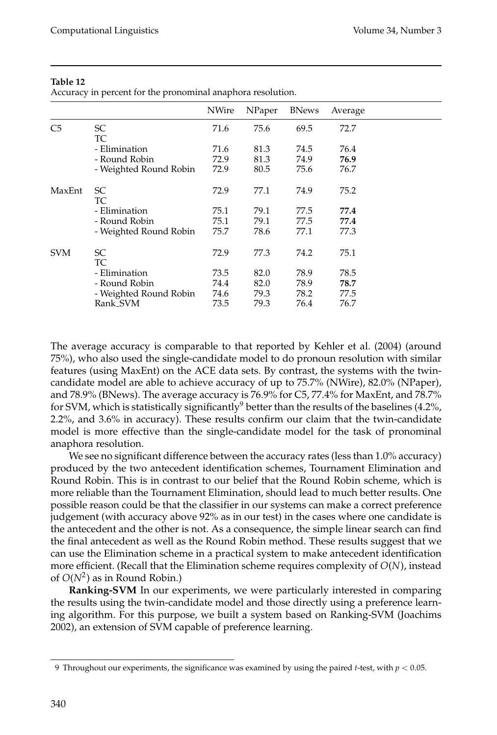Accuracy in percent for the pronominal anaphora resolution.

|                |                        | NWire | NPaper | <b>BNews</b> | Average |  |
|----------------|------------------------|-------|--------|--------------|---------|--|
| C <sub>5</sub> | <sub>SC</sub><br>TC    | 71.6  | 75.6   | 69.5         | 72.7    |  |
|                | - Elimination          | 71.6  | 81.3   | 74.5         | 76.4    |  |
|                | - Round Robin          | 72.9  | 81.3   | 74.9         | 76.9    |  |
|                | - Weighted Round Robin | 72.9  | 80.5   | 75.6         | 76.7    |  |
| MaxEnt         | SC<br>TC               | 72.9  | 77.1   | 74.9         | 75.2    |  |
|                | - Elimination          | 75.1  | 79.1   | 77.5         | 77.4    |  |
|                | - Round Robin          | 75.1  | 79.1   | 77.5         | 77.4    |  |
|                | - Weighted Round Robin | 75.7  | 78.6   | 77.1         | 77.3    |  |
| <b>SVM</b>     | SC<br>TC               | 72.9  | 77.3   | 74.2         | 75.1    |  |
|                | - Elimination          | 73.5  | 82.0   | 78.9         | 78.5    |  |
|                | - Round Robin          | 74.4  | 82.0   | 78.9         | 78.7    |  |
|                | - Weighted Round Robin | 74.6  | 79.3   | 78.2         | 77.5    |  |
|                | Rank_SVM               | 73.5  | 79.3   | 76.4         | 76.7    |  |

The average accuracy is comparable to that reported by Kehler et al. (2004) (around 75%), who also used the single-candidate model to do pronoun resolution with similar features (using MaxEnt) on the ACE data sets. By contrast, the systems with the twincandidate model are able to achieve accuracy of up to 75.7% (NWire), 82.0% (NPaper), and 78.9% (BNews). The average accuracy is 76.9% for C5, 77.4% for MaxEnt, and 78.7% for SVM, which is statistically significantly<sup>9</sup> better than the results of the baselines (4.2%, 2.2%, and 3.6% in accuracy). These results confirm our claim that the twin-candidate model is more effective than the single-candidate model for the task of pronominal anaphora resolution.

We see no significant difference between the accuracy rates (less than 1.0% accuracy) produced by the two antecedent identification schemes, Tournament Elimination and Round Robin. This is in contrast to our belief that the Round Robin scheme, which is more reliable than the Tournament Elimination, should lead to much better results. One possible reason could be that the classifier in our systems can make a correct preference judgement (with accuracy above 92% as in our test) in the cases where one candidate is the antecedent and the other is not. As a consequence, the simple linear search can find the final antecedent as well as the Round Robin method. These results suggest that we can use the Elimination scheme in a practical system to make antecedent identification more efficient. (Recall that the Elimination scheme requires complexity of *O*(*N*), instead of  $O(N^2)$  as in Round Robin.)

**Ranking-SVM** In our experiments, we were particularly interested in comparing the results using the twin-candidate model and those directly using a preference learning algorithm. For this purpose, we built a system based on Ranking-SVM (Joachims 2002), an extension of SVM capable of preference learning.

<sup>9</sup> Throughout our experiments, the significance was examined by using the paired *t*-test, with *p* < 0.05.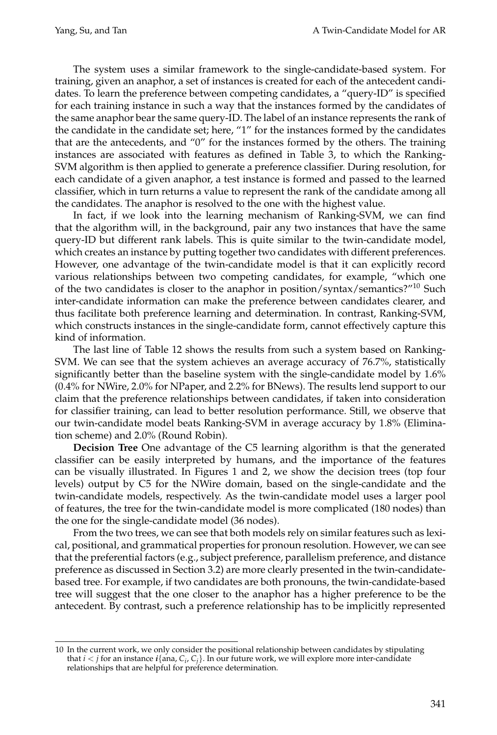The system uses a similar framework to the single-candidate-based system. For training, given an anaphor, a set of instances is created for each of the antecedent candidates. To learn the preference between competing candidates, a "query-ID" is specified for each training instance in such a way that the instances formed by the candidates of the same anaphor bear the same query-ID. The label of an instance represents the rank of the candidate in the candidate set; here, "1" for the instances formed by the candidates that are the antecedents, and "0" for the instances formed by the others. The training instances are associated with features as defined in Table 3, to which the Ranking-SVM algorithm is then applied to generate a preference classifier. During resolution, for each candidate of a given anaphor, a test instance is formed and passed to the learned classifier, which in turn returns a value to represent the rank of the candidate among all the candidates. The anaphor is resolved to the one with the highest value.

In fact, if we look into the learning mechanism of Ranking-SVM, we can find that the algorithm will, in the background, pair any two instances that have the same query-ID but different rank labels. This is quite similar to the twin-candidate model, which creates an instance by putting together two candidates with different preferences. However, one advantage of the twin-candidate model is that it can explicitly record various relationships between two competing candidates, for example, "which one of the two candidates is closer to the anaphor in position/syntax/semantics?"<sup>10</sup> Such inter-candidate information can make the preference between candidates clearer, and thus facilitate both preference learning and determination. In contrast, Ranking-SVM, which constructs instances in the single-candidate form, cannot effectively capture this kind of information.

The last line of Table 12 shows the results from such a system based on Ranking-SVM. We can see that the system achieves an average accuracy of 76.7%, statistically significantly better than the baseline system with the single-candidate model by 1.6% (0.4% for NWire, 2.0% for NPaper, and 2.2% for BNews). The results lend support to our claim that the preference relationships between candidates, if taken into consideration for classifier training, can lead to better resolution performance. Still, we observe that our twin-candidate model beats Ranking-SVM in average accuracy by 1.8% (Elimination scheme) and 2.0% (Round Robin).

**Decision Tree** One advantage of the C5 learning algorithm is that the generated classifier can be easily interpreted by humans, and the importance of the features can be visually illustrated. In Figures 1 and 2, we show the decision trees (top four levels) output by C5 for the NWire domain, based on the single-candidate and the twin-candidate models, respectively. As the twin-candidate model uses a larger pool of features, the tree for the twin-candidate model is more complicated (180 nodes) than the one for the single-candidate model (36 nodes).

From the two trees, we can see that both models rely on similar features such as lexical, positional, and grammatical properties for pronoun resolution. However, we can see that the preferential factors (e.g., subject preference, parallelism preference, and distance preference as discussed in Section 3.2) are more clearly presented in the twin-candidatebased tree. For example, if two candidates are both pronouns, the twin-candidate-based tree will suggest that the one closer to the anaphor has a higher preference to be the antecedent. By contrast, such a preference relationship has to be implicitly represented

<sup>10</sup> In the current work, we only consider the positional relationship between candidates by stipulating that *i* < *j* for an instance *i*{ana, *Ci*, *Cj*}. In our future work, we will explore more inter-candidate relationships that are helpful for preference determination.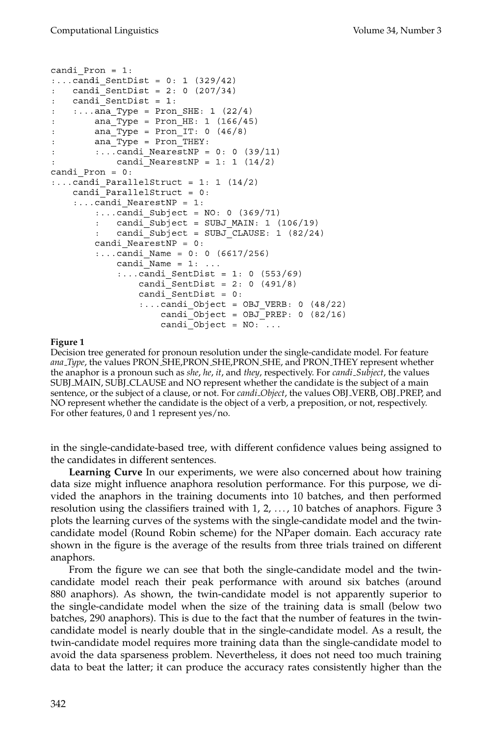```
candi Pron = 1::...candi SentDist = 0: 1 (329/42)
    candi SentDist = 2: 0 (207/34)
    candi SentDist = 1:\ddot{\cdot}\ldots ana_Type = Pron_SHE: 1 (22/4)
\ddot{\cdot}ana Type = Pron HE: 1 (166/45)
\ddot{\cdot}ana Type = Pron IT: 0 (46/8)
\ddot{\cdot}ana Type = Pron THEY:
\mathbf{r}\ldots.candi_NearestNP = 0: 0 (39/11)
\ddot{\cdot}candi NearestNP = 1: 1 (14/2)
\cdotcandi Pron = 0:\ldots.candi_ParallelStruct = 1: 1 (14/2)
    candi ParallelStruct = 0:
    \ldots.candi_NearestNP = 1:
         \ldots.candi Subject = NO: 0 (369/71)
           candi Subject = SUBJ MAIN: 1 (106/19)
           candi Subject = SUBJ CLAUSE: 1 (82/24)
         candi NearestNP = 0::...candi Name = 0: 0 (6617/256)candi Name = 1: ...\ldots candi SentDist = 1: 0 (553/69)
                 candi SentDist = 2: 0 (491/8)
                 candi_SentDist = 0:\ldots.candi_Object = OBJ_VERB: 0 (48/22)
                      candi Object = OBJ PREP: 0 (82/16)
                      candi Object = NO: ...
```
## **Figure 1**

Decision tree generated for pronoun resolution under the single-candidate model. For feature *ana Type*, the values PRON SHE,PRON SHE,PRON SHE, and PRON THEY represent whether the anaphor is a pronoun such as *she*, *he*, *it*, and *they*, respectively. For *candi Subject*, the values SUBJ MAIN, SUBJ CLAUSE and NO represent whether the candidate is the subject of a main sentence, or the subject of a clause, or not. For *candi Object*, the values OBJ VERB, OBJ PREP, and NO represent whether the candidate is the object of a verb, a preposition, or not, respectively. For other features, 0 and 1 represent yes/no.

in the single-candidate-based tree, with different confidence values being assigned to the candidates in different sentences.

**Learning Curve** In our experiments, we were also concerned about how training data size might influence anaphora resolution performance. For this purpose, we divided the anaphors in the training documents into 10 batches, and then performed resolution using the classifiers trained with  $1, 2, \ldots$ , 10 batches of anaphors. Figure 3 plots the learning curves of the systems with the single-candidate model and the twincandidate model (Round Robin scheme) for the NPaper domain. Each accuracy rate shown in the figure is the average of the results from three trials trained on different anaphors.

From the figure we can see that both the single-candidate model and the twincandidate model reach their peak performance with around six batches (around 880 anaphors). As shown, the twin-candidate model is not apparently superior to the single-candidate model when the size of the training data is small (below two batches, 290 anaphors). This is due to the fact that the number of features in the twincandidate model is nearly double that in the single-candidate model. As a result, the twin-candidate model requires more training data than the single-candidate model to avoid the data sparseness problem. Nevertheless, it does not need too much training data to beat the latter; it can produce the accuracy rates consistently higher than the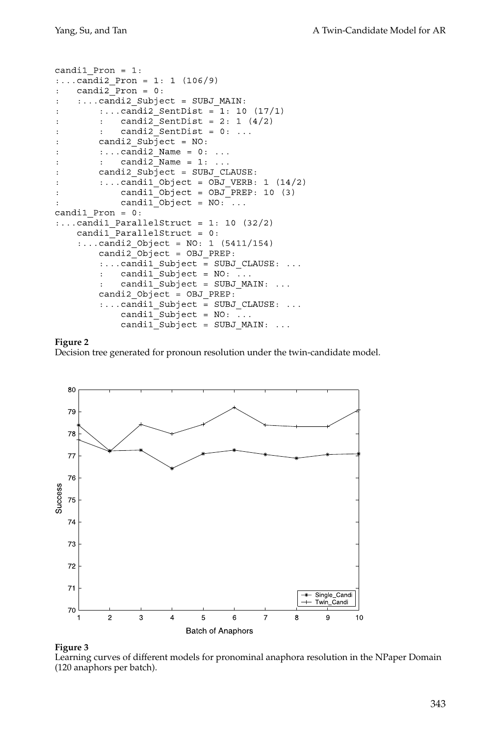```
candil Pron = 1::...candi2_Pron = 1: 1 (106/9)candi2 Pron = 0:
\ddot{\cdot}:... candi2 Subject = SUBJ MAIN:
\ddot{\cdot}\ldots.candi2_SentDist = 1: 10 (17/1)
\ddot{\cdot}candi2 SentDist = 2: 1 (4/2)\ddot{\cdot}:
                candi2SentDist = 0: ...
\ddot{\cdot}\ddot{\cdot}candi2 Subject = NO:\ddot{\cdot}\ldots.candi2_Name = 0:
\ddot{\cdot}\sim \sim \simcandi2_Name = 1: ...\ddot{\cdot}\ddot{\phantom{a}}candi2_Subject = SUBJ_CLAUSE:
\ddot{\cdot}\ldots.candi1_Object = OBJ_VERB: 1 (14/2)\ddot{\cdot}candil Object = OBJ PREP: 10 (3)\ddot{\cdot}candil Object = NO: ...\ddot{\cdot}candil Pron = 0:
\ldots.candi1 ParallelStruct = 1: 10 (32/2)
     candil ParallelStruct = 0:: \ldotscandi2_Object = NO: 1 (5411/154)
          candi2 Object = OBJ PREP:
           :... candil Subject = SUBJ CLAUSE: ...
                candil Subject = NO: ...\ddot{\cdot}candil Subject = SUBJ MAIN:
           \ddot{\cdot}\sim \sim \simcandi2_Object = OBJ_PREF:\ldots.candil_Subject = SUBJ_CLAUSE: \ldotscandi1_Subject = NO: ...candi1_Subject = SUBJ_MAIN:
                                                     \ldots
```
#### **Figure 2**

Decision tree generated for pronoun resolution under the twin-candidate model.



## **Figure 3**

Learning curves of different models for pronominal anaphora resolution in the NPaper Domain (120 anaphors per batch).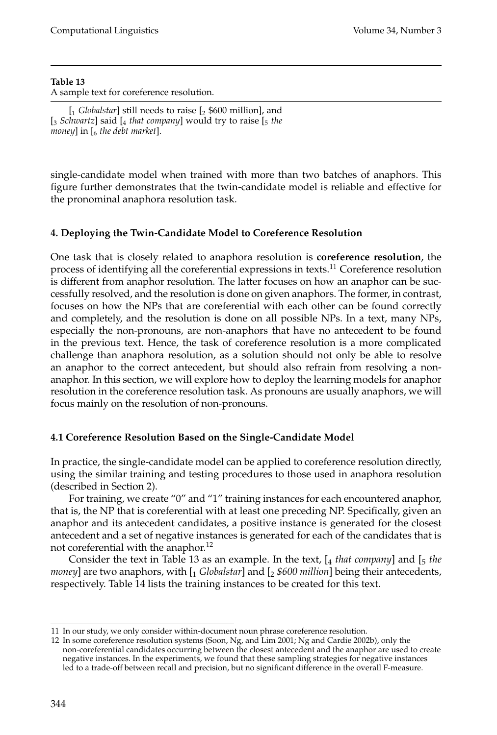## **Table 13** A sample text for coreference resolution.

single-candidate model when trained with more than two batches of anaphors. This figure further demonstrates that the twin-candidate model is reliable and effective for the pronominal anaphora resolution task.

## **4. Deploying the Twin-Candidate Model to Coreference Resolution**

One task that is closely related to anaphora resolution is **coreference resolution**, the process of identifying all the coreferential expressions in texts.<sup>11</sup> Coreference resolution is different from anaphor resolution. The latter focuses on how an anaphor can be successfully resolved, and the resolution is done on given anaphors. The former, in contrast, focuses on how the NPs that are coreferential with each other can be found correctly and completely, and the resolution is done on all possible NPs. In a text, many NPs, especially the non-pronouns, are non-anaphors that have no antecedent to be found in the previous text. Hence, the task of coreference resolution is a more complicated challenge than anaphora resolution, as a solution should not only be able to resolve an anaphor to the correct antecedent, but should also refrain from resolving a nonanaphor. In this section, we will explore how to deploy the learning models for anaphor resolution in the coreference resolution task. As pronouns are usually anaphors, we will focus mainly on the resolution of non-pronouns.

## **4.1 Coreference Resolution Based on the Single-Candidate Model**

In practice, the single-candidate model can be applied to coreference resolution directly, using the similar training and testing procedures to those used in anaphora resolution (described in Section 2).

For training, we create "0" and "1" training instances for each encountered anaphor, that is, the NP that is coreferential with at least one preceding NP. Specifically, given an anaphor and its antecedent candidates, a positive instance is generated for the closest antecedent and a set of negative instances is generated for each of the candidates that is not coreferential with the anaphor.<sup>12</sup>

Consider the text in Table 13 as an example. In the text, [4 *that company*] and [5 *the money*] are two anaphors, with  $\left[ \frac{1}{2} \text{ Globalstar} \right]$  and  $\left[ \frac{1}{2} \frac{1}{2} \frac{3600 \text{ million}}{200 \text{ million}} \right]$  being their antecedents, respectively. Table 14 lists the training instances to be created for this text.

<sup>11</sup> In our study, we only consider within-document noun phrase coreference resolution.

<sup>12</sup> In some coreference resolution systems (Soon, Ng, and Lim 2001; Ng and Cardie 2002b), only the non-coreferential candidates occurring between the closest antecedent and the anaphor are used to create negative instances. In the experiments, we found that these sampling strategies for negative instances led to a trade-off between recall and precision, but no significant difference in the overall F-measure.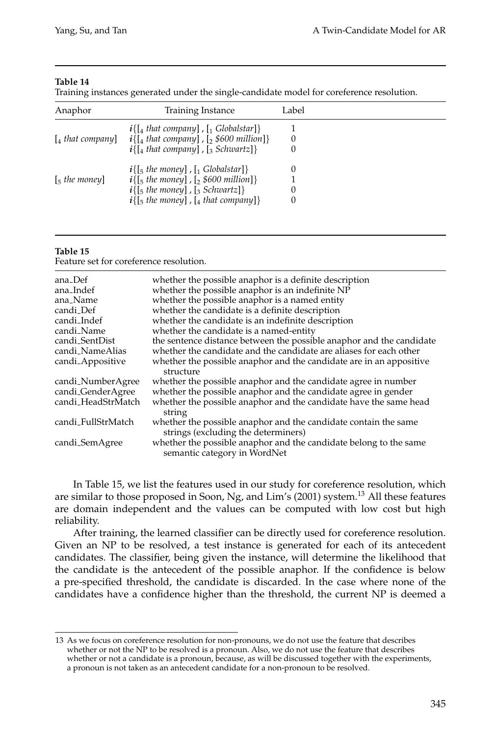Training instances generated under the single-candidate model for coreference resolution.

| Anaphor                         | <b>Training Instance</b>                                                                                                                                        | Label |  |
|---------------------------------|-----------------------------------------------------------------------------------------------------------------------------------------------------------------|-------|--|
| $\lceil_4$ that company         | $i\{$ [4 that company], [1 Globalstar]}<br>$i\{$ [4 that company], [2 \$600 million]}<br>$i\{$ [4 that company], [3 Schwartz]}                                  | 0     |  |
| $\lceil$ <sub>5</sub> the money | $i\{$ [5 the money], [1 Globalstar]}<br>$i\{$ [5 the money], [2 \$600 million]}<br>$i\{$ [5 the money], [3 Schwartz]}<br>$i\{$ [5 the money], [4 that company]} |       |  |

#### **Table 15**

Feature set for coreference resolution.

| ana_Def<br>ana_Indef<br>ana_Name<br>candi_Def<br>candi_Indef<br>candi_Name<br>candi_SentDist<br>candi_NameAlias<br>candi_Appositive | whether the possible anaphor is a definite description<br>whether the possible anaphor is an indefinite NP<br>whether the possible anaphor is a named entity<br>whether the candidate is a definite description<br>whether the candidate is an indefinite description<br>whether the candidate is a named-entity<br>the sentence distance between the possible anaphor and the candidate<br>whether the candidate and the candidate are aliases for each other<br>whether the possible anaphor and the candidate are in an appositive<br>structure |
|-------------------------------------------------------------------------------------------------------------------------------------|----------------------------------------------------------------------------------------------------------------------------------------------------------------------------------------------------------------------------------------------------------------------------------------------------------------------------------------------------------------------------------------------------------------------------------------------------------------------------------------------------------------------------------------------------|
| candi <sub>-NumberAgree</sub><br>candi_GenderAgree<br>candi_HeadStrMatch<br>candi_FullStrMatch                                      | whether the possible anaphor and the candidate agree in number<br>whether the possible anaphor and the candidate agree in gender<br>whether the possible anaphor and the candidate have the same head<br>string<br>whether the possible anaphor and the candidate contain the same<br>strings (excluding the determiners)<br>whether the possible anaphor and the candidate belong to the same                                                                                                                                                     |
| candi_SemAgree                                                                                                                      | semantic category in WordNet                                                                                                                                                                                                                                                                                                                                                                                                                                                                                                                       |

In Table 15, we list the features used in our study for coreference resolution, which are similar to those proposed in Soon, Ng, and Lim's (2001) system.<sup>13</sup> All these features are domain independent and the values can be computed with low cost but high reliability.

After training, the learned classifier can be directly used for coreference resolution. Given an NP to be resolved, a test instance is generated for each of its antecedent candidates. The classifier, being given the instance, will determine the likelihood that the candidate is the antecedent of the possible anaphor. If the confidence is below a pre-specified threshold, the candidate is discarded. In the case where none of the candidates have a confidence higher than the threshold, the current NP is deemed a

<sup>13</sup> As we focus on coreference resolution for non-pronouns, we do not use the feature that describes whether or not the NP to be resolved is a pronoun. Also, we do not use the feature that describes whether or not a candidate is a pronoun, because, as will be discussed together with the experiments, a pronoun is not taken as an antecedent candidate for a non-pronoun to be resolved.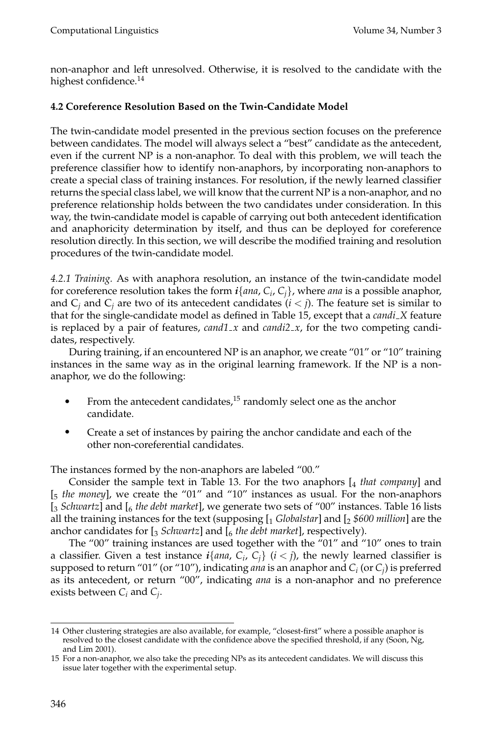non-anaphor and left unresolved. Otherwise, it is resolved to the candidate with the highest confidence.<sup>14</sup>

## **4.2 Coreference Resolution Based on the Twin-Candidate Model**

The twin-candidate model presented in the previous section focuses on the preference between candidates. The model will always select a "best" candidate as the antecedent, even if the current NP is a non-anaphor. To deal with this problem, we will teach the preference classifier how to identify non-anaphors, by incorporating non-anaphors to create a special class of training instances. For resolution, if the newly learned classifier returns the special class label, we will know that the current NP is a non-anaphor, and no preference relationship holds between the two candidates under consideration. In this way, the twin-candidate model is capable of carrying out both antecedent identification and anaphoricity determination by itself, and thus can be deployed for coreference resolution directly. In this section, we will describe the modified training and resolution procedures of the twin-candidate model.

*4.2.1 Training.* As with anaphora resolution, an instance of the twin-candidate model for coreference resolution takes the form  $i\{ana, C_i, C_i\}$ , where *ana* is a possible anaphor, and  $C_i$  and  $C_j$  are two of its antecedent candidates  $(i < j)$ . The feature set is similar to that for the single-candidate model as defined in Table 15, except that a *candi X* feature is replaced by a pair of features, *cand1\_x* and *candi2\_x*, for the two competing candidates, respectively.

During training, if an encountered NP is an anaphor, we create "01" or "10" training instances in the same way as in the original learning framework. If the NP is a nonanaphor, we do the following:

- From the antecedent candidates, $15$  randomly select one as the anchor candidate.
- Create a set of instances by pairing the anchor candidate and each of the other non-coreferential candidates.

The instances formed by the non-anaphors are labeled "00."

Consider the sample text in Table 13. For the two anaphors [4 *that company*] and [5 *the money*], we create the "01" and "10" instances as usual. For the non-anaphors [3 *Schwartz*] and [6 *the debt market*], we generate two sets of "00" instances. Table 16 lists all the training instances for the text (supposing [1 *Globalstar*] and [2 *\$600 million*] are the anchor candidates for [3 *Schwartz*] and [6 *the debt market*], respectively).

The "00" training instances are used together with the "01" and "10" ones to train a classifier. Given a test instance  $i\{ana, C_i, C_j\}$  ( $i < j$ ), the newly learned classifier is supposed to return "01" (or "10"), indicating *ana* is an anaphor and  $C_i$  (or  $C_j$ ) is preferred as its antecedent, or return "00", indicating *ana* is a non-anaphor and no preference exists between  $C_i$  and  $C_j$ .

<sup>14</sup> Other clustering strategies are also available, for example, "closest-first" where a possible anaphor is resolved to the closest candidate with the confidence above the specified threshold, if any (Soon, Ng, and Lim 2001).

<sup>15</sup> For a non-anaphor, we also take the preceding NPs as its antecedent candidates. We will discuss this issue later together with the experimental setup.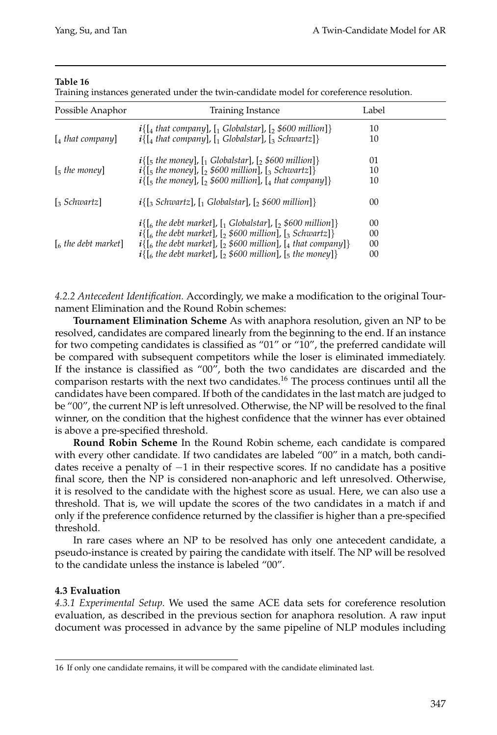Training instances generated under the twin-candidate model for coreference resolution.

| Possible Anaphor              | Training Instance                                                                                | Label |  |
|-------------------------------|--------------------------------------------------------------------------------------------------|-------|--|
|                               | $i\{$ [4 that company], [1 Globalstar], [2 \$600 million]}                                       | 10    |  |
| $\lceil_4$ that company       | $i\{$ [4 that company], [1 Globalstar], [3 Schwartz]}                                            | 10    |  |
|                               | $i\{$ [5 the money], [1 Globalstar], [2 \$600 million]}                                          | 01    |  |
| $\left[\right]$ = the money   | $i\{$ [5 the money], [2 \$600 million], [3 Schwartz]}                                            | 10    |  |
|                               | $i\{$ [5 the money], [2 \$600 million], [4 that company]}                                        | 10    |  |
| $\lceil_{3}$ Schwartz         | $i\{\left[\right]_3$ Schwartz], $\left[\right]_1$ Globalstar], $\left[\right]_2$ \$600 million]} | 00    |  |
|                               | $i\{$ [6 the debt market], [1 Globalstar], [2 \$600 million]}                                    | 00    |  |
|                               | $i\{$ [6 the debt market], [2 \$600 million], [3 Schwartz]}                                      | 00    |  |
| $\lceil_{6}$ the debt market] | $i\{$ [6 the debt market], [2 \$600 million], [4 that company]}                                  | 00    |  |
|                               | $i\{$ [6 the debt market], [2 \$600 million], [5 the money]}                                     | 00    |  |

*4.2.2 Antecedent Identification.* Accordingly, we make a modification to the original Tournament Elimination and the Round Robin schemes:

**Tournament Elimination Scheme** As with anaphora resolution, given an NP to be resolved, candidates are compared linearly from the beginning to the end. If an instance for two competing candidates is classified as "01" or "10", the preferred candidate will be compared with subsequent competitors while the loser is eliminated immediately. If the instance is classified as "00", both the two candidates are discarded and the comparison restarts with the next two candidates.<sup>16</sup> The process continues until all the candidates have been compared. If both of the candidates in the last match are judged to be "00", the current NP is left unresolved. Otherwise, the NP will be resolved to the final winner, on the condition that the highest confidence that the winner has ever obtained is above a pre-specified threshold.

**Round Robin Scheme** In the Round Robin scheme, each candidate is compared with every other candidate. If two candidates are labeled "00" in a match, both candidates receive a penalty of  $-1$  in their respective scores. If no candidate has a positive final score, then the NP is considered non-anaphoric and left unresolved. Otherwise, it is resolved to the candidate with the highest score as usual. Here, we can also use a threshold. That is, we will update the scores of the two candidates in a match if and only if the preference confidence returned by the classifier is higher than a pre-specified threshold.

In rare cases where an NP to be resolved has only one antecedent candidate, a pseudo-instance is created by pairing the candidate with itself. The NP will be resolved to the candidate unless the instance is labeled "00".

## **4.3Evaluation**

*4.3.1 Experimental Setup.* We used the same ACE data sets for coreference resolution evaluation, as described in the previous section for anaphora resolution. A raw input document was processed in advance by the same pipeline of NLP modules including

<sup>16</sup> If only one candidate remains, it will be compared with the candidate eliminated last.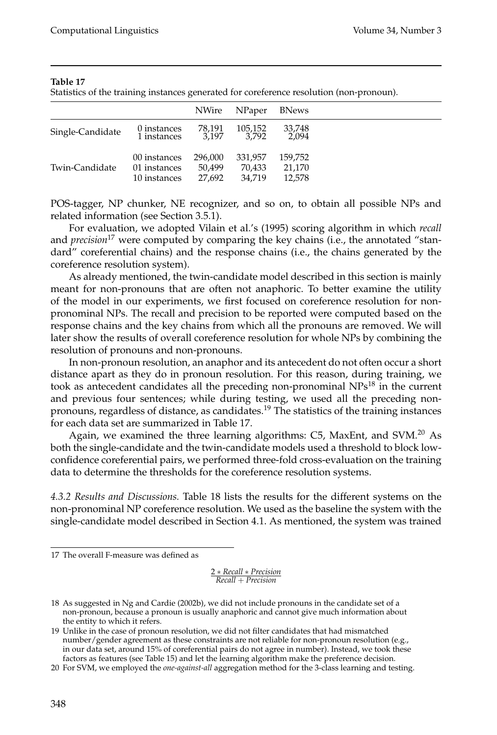Statistics of the training instances generated for coreference resolution (non-pronoun).

|                  |                                              | <b>NWire</b>                | NPaper                      | <b>BNews</b>                |
|------------------|----------------------------------------------|-----------------------------|-----------------------------|-----------------------------|
| Single-Candidate | 0 instances<br>1 instances                   | 78,191<br>3.197             | 105,152<br>3.792            | 33,748<br>2.094             |
| Twin-Candidate   | 00 instances<br>01 instances<br>10 instances | 296,000<br>50.499<br>27.692 | 331,957<br>70,433<br>34.719 | 159,752<br>21,170<br>12.578 |

POS-tagger, NP chunker, NE recognizer, and so on, to obtain all possible NPs and related information (see Section 3.5.1).

For evaluation, we adopted Vilain et al.'s (1995) scoring algorithm in which *recall* and *precision*<sup>17</sup> were computed by comparing the key chains (i.e., the annotated "standard" coreferential chains) and the response chains (i.e., the chains generated by the coreference resolution system).

As already mentioned, the twin-candidate model described in this section is mainly meant for non-pronouns that are often not anaphoric. To better examine the utility of the model in our experiments, we first focused on coreference resolution for nonpronominal NPs. The recall and precision to be reported were computed based on the response chains and the key chains from which all the pronouns are removed. We will later show the results of overall coreference resolution for whole NPs by combining the resolution of pronouns and non-pronouns.

In non-pronoun resolution, an anaphor and its antecedent do not often occur a short distance apart as they do in pronoun resolution. For this reason, during training, we took as antecedent candidates all the preceding non-pronominal  $NPs^{18}$  in the current and previous four sentences; while during testing, we used all the preceding nonpronouns, regardless of distance, as candidates.<sup>19</sup> The statistics of the training instances for each data set are summarized in Table 17.

Again, we examined the three learning algorithms: C5, MaxEnt, and SVM.<sup>20</sup> As both the single-candidate and the twin-candidate models used a threshold to block lowconfidence coreferential pairs, we performed three-fold cross-evaluation on the training data to determine the thresholds for the coreference resolution systems.

*4.3.2 Results and Discussions.* Table 18 lists the results for the different systems on the non-pronominal NP coreference resolution. We used as the baseline the system with the single-candidate model described in Section 4.1. As mentioned, the system was trained

2 ∗ *Recall* ∗ *Precision Recall* + *Precision*

<sup>17</sup> The overall F-measure was defined as

<sup>18</sup> As suggested in Ng and Cardie (2002b), we did not include pronouns in the candidate set of a non-pronoun, because a pronoun is usually anaphoric and cannot give much information about the entity to which it refers.

<sup>19</sup> Unlike in the case of pronoun resolution, we did not filter candidates that had mismatched number/gender agreement as these constraints are not reliable for non-pronoun resolution (e.g., in our data set, around 15% of coreferential pairs do not agree in number). Instead, we took these factors as features (see Table 15) and let the learning algorithm make the preference decision.

<sup>20</sup> For SVM, we employed the *one-against-all* aggregation method for the 3-class learning and testing.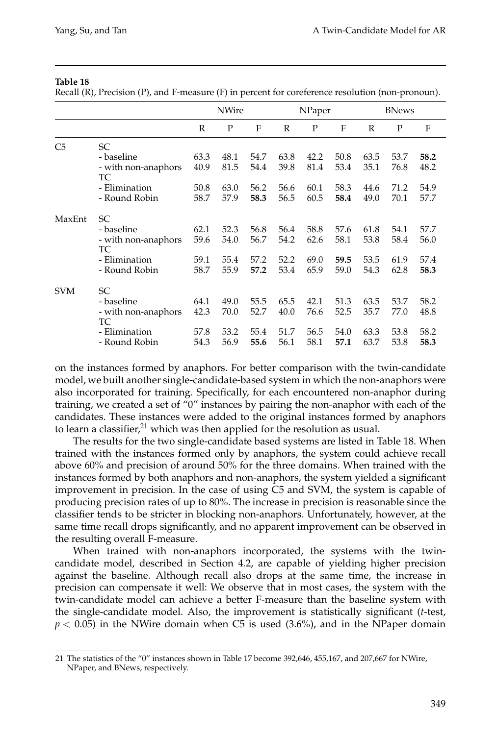Recall (R), Precision (P), and F-measure (F) in percent for coreference resolution (non-pronoun).

|                |                           | <b>NWire</b> |      |      | NPaper |      |      | <b>BNews</b> |      |      |
|----------------|---------------------------|--------------|------|------|--------|------|------|--------------|------|------|
|                |                           | R            | P    | F    | R      | P    | F    | R            | P    | F    |
| C <sub>5</sub> | SC                        |              |      |      |        |      |      |              |      |      |
|                | - baseline                | 63.3         | 48.1 | 54.7 | 63.8   | 42.2 | 50.8 | 63.5         | 53.7 | 58.2 |
|                | - with non-anaphors<br>TC | 40.9         | 81.5 | 54.4 | 39.8   | 81.4 | 53.4 | 35.1         | 76.8 | 48.2 |
|                | - Elimination             | 50.8         | 63.0 | 56.2 | 56.6   | 60.1 | 58.3 | 44.6         | 71.2 | 54.9 |
|                | - Round Robin             | 58.7         | 57.9 | 58.3 | 56.5   | 60.5 | 58.4 | 49.0         | 70.1 | 57.7 |
| MaxEnt         | <b>SC</b>                 |              |      |      |        |      |      |              |      |      |
|                | - baseline                | 62.1         | 52.3 | 56.8 | 56.4   | 58.8 | 57.6 | 61.8         | 54.1 | 57.7 |
|                | - with non-anaphors<br>ТC | 59.6         | 54.0 | 56.7 | 54.2   | 62.6 | 58.1 | 53.8         | 58.4 | 56.0 |
|                | - Elimination             | 59.1         | 55.4 | 57.2 | 52.2   | 69.0 | 59.5 | 53.5         | 61.9 | 57.4 |
|                | - Round Robin             | 58.7         | 55.9 | 57.2 | 53.4   | 65.9 | 59.0 | 54.3         | 62.8 | 58.3 |
| <b>SVM</b>     | <b>SC</b>                 |              |      |      |        |      |      |              |      |      |
|                | - baseline                | 64.1         | 49.0 | 55.5 | 65.5   | 42.1 | 51.3 | 63.5         | 53.7 | 58.2 |
|                | - with non-anaphors<br>TC | 42.3         | 70.0 | 52.7 | 40.0   | 76.6 | 52.5 | 35.7         | 77.0 | 48.8 |
|                | - Elimination             | 57.8         | 53.2 | 55.4 | 51.7   | 56.5 | 54.0 | 63.3         | 53.8 | 58.2 |
|                | - Round Robin             | 54.3         | 56.9 | 55.6 | 56.1   | 58.1 | 57.1 | 63.7         | 53.8 | 58.3 |

on the instances formed by anaphors. For better comparison with the twin-candidate model, we built another single-candidate-based system in which the non-anaphors were also incorporated for training. Specifically, for each encountered non-anaphor during training, we created a set of "0" instances by pairing the non-anaphor with each of the candidates. These instances were added to the original instances formed by anaphors to learn a classifier, $21$  which was then applied for the resolution as usual.

The results for the two single-candidate based systems are listed in Table 18. When trained with the instances formed only by anaphors, the system could achieve recall above 60% and precision of around 50% for the three domains. When trained with the instances formed by both anaphors and non-anaphors, the system yielded a significant improvement in precision. In the case of using C5 and SVM, the system is capable of producing precision rates of up to 80%. The increase in precision is reasonable since the classifier tends to be stricter in blocking non-anaphors. Unfortunately, however, at the same time recall drops significantly, and no apparent improvement can be observed in the resulting overall F-measure.

When trained with non-anaphors incorporated, the systems with the twincandidate model, described in Section 4.2, are capable of yielding higher precision against the baseline. Although recall also drops at the same time, the increase in precision can compensate it well: We observe that in most cases, the system with the twin-candidate model can achieve a better F-measure than the baseline system with the single-candidate model. Also, the improvement is statistically significant (*t*-test, *p* < 0.05) in the NWire domain when C5 is used (3.6%), and in the NPaper domain

<sup>21</sup> The statistics of the "0" instances shown in Table 17 become 392,646, 455,167, and 207,667 for NWire, NPaper, and BNews, respectively.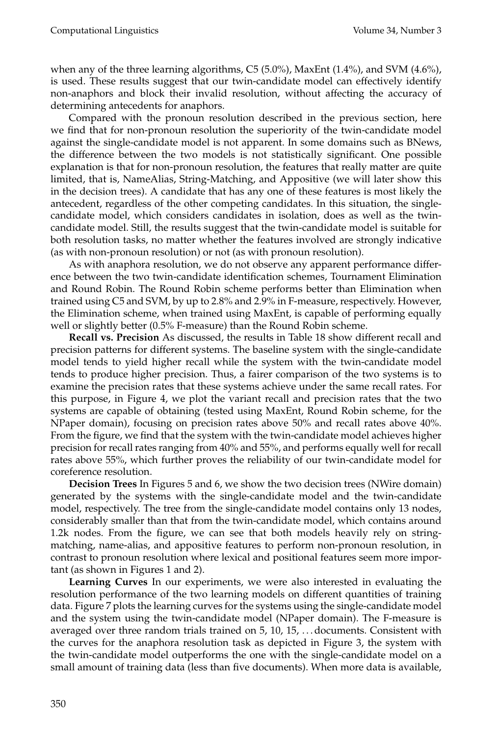when any of the three learning algorithms, C5 (5.0%), MaxEnt (1.4%), and SVM (4.6%), is used. These results suggest that our twin-candidate model can effectively identify non-anaphors and block their invalid resolution, without affecting the accuracy of determining antecedents for anaphors.

Compared with the pronoun resolution described in the previous section, here we find that for non-pronoun resolution the superiority of the twin-candidate model against the single-candidate model is not apparent. In some domains such as BNews, the difference between the two models is not statistically significant. One possible explanation is that for non-pronoun resolution, the features that really matter are quite limited, that is, NameAlias, String-Matching, and Appositive (we will later show this in the decision trees). A candidate that has any one of these features is most likely the antecedent, regardless of the other competing candidates. In this situation, the singlecandidate model, which considers candidates in isolation, does as well as the twincandidate model. Still, the results suggest that the twin-candidate model is suitable for both resolution tasks, no matter whether the features involved are strongly indicative (as with non-pronoun resolution) or not (as with pronoun resolution).

As with anaphora resolution, we do not observe any apparent performance difference between the two twin-candidate identification schemes, Tournament Elimination and Round Robin. The Round Robin scheme performs better than Elimination when trained using C5 and SVM, by up to 2.8% and 2.9% in F-measure, respectively. However, the Elimination scheme, when trained using MaxEnt, is capable of performing equally well or slightly better (0.5% F-measure) than the Round Robin scheme.

**Recall vs. Precision** As discussed, the results in Table 18 show different recall and precision patterns for different systems. The baseline system with the single-candidate model tends to yield higher recall while the system with the twin-candidate model tends to produce higher precision. Thus, a fairer comparison of the two systems is to examine the precision rates that these systems achieve under the same recall rates. For this purpose, in Figure 4, we plot the variant recall and precision rates that the two systems are capable of obtaining (tested using MaxEnt, Round Robin scheme, for the NPaper domain), focusing on precision rates above 50% and recall rates above 40%. From the figure, we find that the system with the twin-candidate model achieves higher precision for recall rates ranging from 40% and 55%, and performs equally well for recall rates above 55%, which further proves the reliability of our twin-candidate model for coreference resolution.

**Decision Trees** In Figures 5 and 6, we show the two decision trees (NWire domain) generated by the systems with the single-candidate model and the twin-candidate model, respectively. The tree from the single-candidate model contains only 13 nodes, considerably smaller than that from the twin-candidate model, which contains around 1.2k nodes. From the figure, we can see that both models heavily rely on stringmatching, name-alias, and appositive features to perform non-pronoun resolution, in contrast to pronoun resolution where lexical and positional features seem more important (as shown in Figures 1 and 2).

**Learning Curves** In our experiments, we were also interested in evaluating the resolution performance of the two learning models on different quantities of training data. Figure 7 plots the learning curves for the systems using the single-candidate model and the system using the twin-candidate model (NPaper domain). The F-measure is averaged over three random trials trained on 5, 10, 15, . . . documents. Consistent with the curves for the anaphora resolution task as depicted in Figure 3, the system with the twin-candidate model outperforms the one with the single-candidate model on a small amount of training data (less than five documents). When more data is available,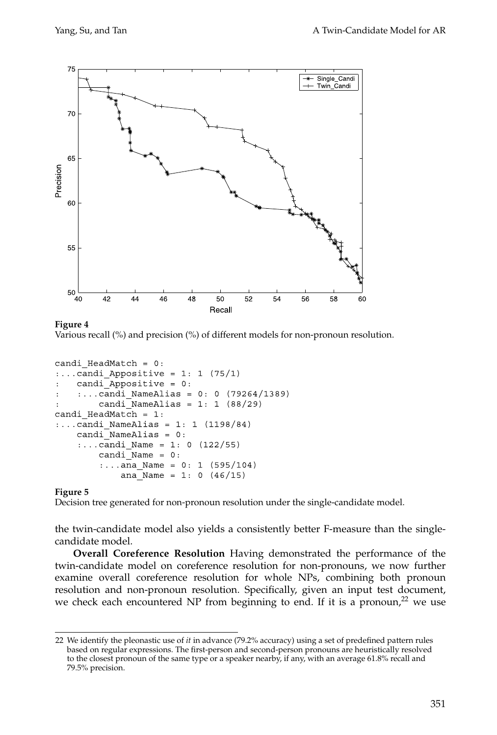

## **Figure 4**

Various recall (%) and precision (%) of different models for non-pronoun resolution.

```
candi HeadMatch = 0:\ldots candi Appositive = 1: 1 (75/1)
    candi_Appositive = 0:\ldots.candi NameAlias = 0: 0 (79264/1389)
        candi NameAlias = 1: 1 (88/29)candi HeadMatch = 1::...candi NameAlias = 1: 1 (1198/84)candi_NameAlias = 0:
    :...candi Name = 1: 0 (122/55)candi\_Name = 0::...ana Name = 0: 1 (595/104)
            ana Name = 1: 0 (46/15)
```
## **Figure 5**

Decision tree generated for non-pronoun resolution under the single-candidate model.

the twin-candidate model also yields a consistently better F-measure than the singlecandidate model.

**Overall Coreference Resolution** Having demonstrated the performance of the twin-candidate model on coreference resolution for non-pronouns, we now further examine overall coreference resolution for whole NPs, combining both pronoun resolution and non-pronoun resolution. Specifically, given an input test document, we check each encountered NP from beginning to end. If it is a pronoun,<sup>22</sup> we use

<sup>22</sup> We identify the pleonastic use of *it* in advance (79.2% accuracy) using a set of predefined pattern rules based on regular expressions. The first-person and second-person pronouns are heuristically resolved to the closest pronoun of the same type or a speaker nearby, if any, with an average 61.8% recall and 79.5% precision.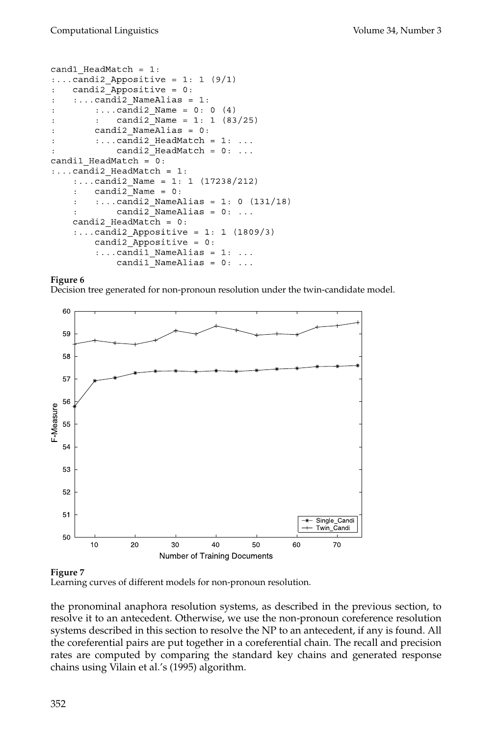```
cand1 HeadMatch = 1:\ldots candi2 Appositive = 1: 1 (9/1)
    candi2_Appositive = 0:
     \ldots candi2 NameAlias = 1:
         :...candi2 Name = 0: 0 (4)
              candi2 Name = 1: 1 (83/25)\mathbf{r}candi2_NameAlias = 0:\ddot{\cdot}\ldots candi2 HeadMatch = 1: \ldots\cdotcandi2_HeadMatch = 0: ...candi1_HeadMatch = 0:\ldots candi2 HeadMatch = 1:
     :...candi2_Name = 1: 1 (17238/212)candi2_Mame = 0:
     \ddot{\cdot}\ldots.candi2_NameAlias = 1: 0 (131/18)
    \ddot{\cdot}candi2 NameAlias = 0: ...\ddot{\cdot}candi2 HeadMatch = 0:\ldots candi2 Appositive = 1: 1 (1809/3)
         candi2 Appositive = 0:\ldots candil NameAlias = 1: \ldotscandil NameAlias = 0: ...
```
## **Figure 6**

Decision tree generated for non-pronoun resolution under the twin-candidate model.



## **Figure 7**

Learning curves of different models for non-pronoun resolution.

the pronominal anaphora resolution systems, as described in the previous section, to resolve it to an antecedent. Otherwise, we use the non-pronoun coreference resolution systems described in this section to resolve the NP to an antecedent, if any is found. All the coreferential pairs are put together in a coreferential chain. The recall and precision rates are computed by comparing the standard key chains and generated response chains using Vilain et al.'s (1995) algorithm.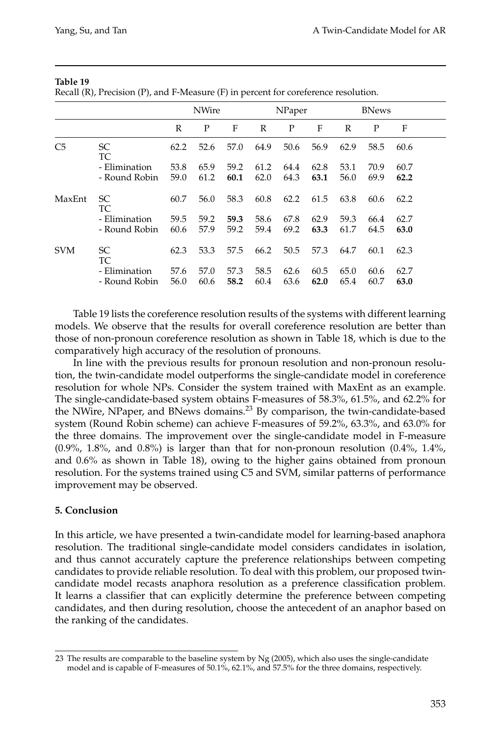Recall (R), Precision (P), and F-Measure (F) in percent for coreference resolution.

|                |                                | <b>NWire</b> |              |              | NPaper       |              |              | <b>BNews</b> |              |              |  |
|----------------|--------------------------------|--------------|--------------|--------------|--------------|--------------|--------------|--------------|--------------|--------------|--|
|                |                                | $\mathbb{R}$ | P            | F            | R            | P            | F            | R            | P            | F            |  |
| C <sub>5</sub> | SC.<br>TC                      | 62.2         | 52.6         | 57.0         | 64.9         | 50.6         | 56.9         | 62.9         | 58.5         | 60.6         |  |
|                | - Elimination                  | 53.8         | 65.9         | 59.2         | 61.2         | 64.4         | 62.8         | 53.1         | 70.9         | 60.7         |  |
|                | - Round Robin                  | 59.0         | 61.2         | 60.1         | 62.0         | 64.3         | 63.1         | 56.0         | 69.9         | 62.2         |  |
| MaxEnt         | SC.<br>TC                      | 60.7         | 56.0         | 58.3         | 60.8         | 62.2         | 61.5         | 63.8         | 60.6         | 62.2         |  |
|                | - Elimination                  | 59.5         | 59.2         | 59.3         | 58.6         | 67.8         | 62.9         | 59.3         | 66.4         | 62.7         |  |
|                | - Round Robin                  | 60.6         | 57.9         | 59.2         | 59.4         | 69.2         | 63.3         | 61.7         | 64.5         | 63.0         |  |
| <b>SVM</b>     | SC.<br>TC                      | 62.3         | 53.3         | 57.5         | 66.2         | 50.5         | 57.3         | 64.7         | 60.1         | 62.3         |  |
|                | - Elimination<br>- Round Robin | 57.6<br>56.0 | 57.0<br>60.6 | 57.3<br>58.2 | 58.5<br>60.4 | 62.6<br>63.6 | 60.5<br>62.0 | 65.0<br>65.4 | 60.6<br>60.7 | 62.7<br>63.0 |  |

Table 19 lists the coreference resolution results of the systems with different learning models. We observe that the results for overall coreference resolution are better than those of non-pronoun coreference resolution as shown in Table 18, which is due to the comparatively high accuracy of the resolution of pronouns.

In line with the previous results for pronoun resolution and non-pronoun resolution, the twin-candidate model outperforms the single-candidate model in coreference resolution for whole NPs. Consider the system trained with MaxEnt as an example. The single-candidate-based system obtains F-measures of 58.3%, 61.5%, and 62.2% for the NWire, NPaper, and BNews domains.<sup>23</sup> By comparison, the twin-candidate-based system (Round Robin scheme) can achieve F-measures of 59.2%, 63.3%, and 63.0% for the three domains. The improvement over the single-candidate model in F-measure  $(0.9\%, 1.8\%, \text{ and } 0.8\%)$  is larger than that for non-pronoun resolution  $(0.4\%, 1.4\%)$ and 0.6% as shown in Table 18), owing to the higher gains obtained from pronoun resolution. For the systems trained using C5 and SVM, similar patterns of performance improvement may be observed.

## **5. Conclusion**

In this article, we have presented a twin-candidate model for learning-based anaphora resolution. The traditional single-candidate model considers candidates in isolation, and thus cannot accurately capture the preference relationships between competing candidates to provide reliable resolution. To deal with this problem, our proposed twincandidate model recasts anaphora resolution as a preference classification problem. It learns a classifier that can explicitly determine the preference between competing candidates, and then during resolution, choose the antecedent of an anaphor based on the ranking of the candidates.

<sup>23</sup> The results are comparable to the baseline system by Ng (2005), which also uses the single-candidate model and is capable of F-measures of 50.1%, 62.1%, and 57.5% for the three domains, respectively.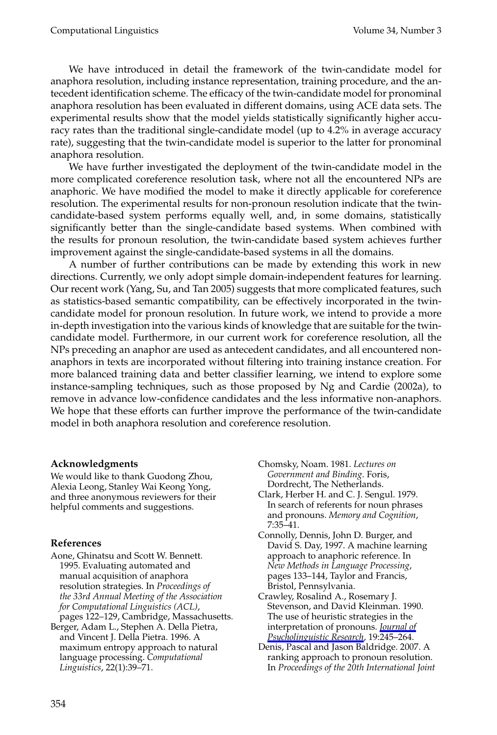Computational Linguistics Volume 34, Number 3

We have introduced in detail the framework of the twin-candidate model for anaphora resolution, including instance representation, training procedure, and the antecedent identification scheme. The efficacy of the twin-candidate model for pronominal anaphora resolution has been evaluated in different domains, using ACE data sets. The experimental results show that the model yields statistically significantly higher accuracy rates than the traditional single-candidate model (up to 4.2% in average accuracy rate), suggesting that the twin-candidate model is superior to the latter for pronominal anaphora resolution.

We have further investigated the deployment of the twin-candidate model in the more complicated coreference resolution task, where not all the encountered NPs are anaphoric. We have modified the model to make it directly applicable for coreference resolution. The experimental results for non-pronoun resolution indicate that the twincandidate-based system performs equally well, and, in some domains, statistically significantly better than the single-candidate based systems. When combined with the results for pronoun resolution, the twin-candidate based system achieves further improvement against the single-candidate-based systems in all the domains.

A number of further contributions can be made by extending this work in new directions. Currently, we only adopt simple domain-independent features for learning. Our recent work (Yang, Su, and Tan 2005) suggests that more complicated features, such as statistics-based semantic compatibility, can be effectively incorporated in the twincandidate model for pronoun resolution. In future work, we intend to provide a more in-depth investigation into the various kinds of knowledge that are suitable for the twincandidate model. Furthermore, in our current work for coreference resolution, all the NPs preceding an anaphor are used as antecedent candidates, and all encountered nonanaphors in texts are incorporated without filtering into training instance creation. For more balanced training data and better classifier learning, we intend to explore some instance-sampling techniques, such as those proposed by Ng and Cardie (2002a), to remove in advance low-confidence candidates and the less informative non-anaphors. We hope that these efforts can further improve the performance of the twin-candidate model in both anaphora resolution and coreference resolution.

## **Acknowledgments**

We would like to thank Guodong Zhou, Alexia Leong, Stanley Wai Keong Yong, and three anonymous reviewers for their helpful comments and suggestions.

#### **References**

- Aone, Ghinatsu and Scott W. Bennett. 1995. Evaluating automated and manual acquisition of anaphora resolution strategies. In *Proceedings of the 33rd Annual Meeting of the Association for Computational Linguistics (ACL)*, pages 122–129, Cambridge, Massachusetts.
- Berger, Adam L., Stephen A. Della Pietra, and Vincent J. Della Pietra. 1996. A maximum entropy approach to natural language processing. *Computational Linguistics*, 22(1):39–71.

Chomsky, Noam. 1981. *Lectures on Government and Binding*. Foris, Dordrecht, The Netherlands.

- Clark, Herber H. and C. J. Sengul. 1979. In search of referents for noun phrases and pronouns. *Memory and Cognition*, 7:35–41.
- Connolly, Dennis, John D. Burger, and David S. Day, 1997. A machine learning approach to anaphoric reference. In *New Methods in Language Processing*, pages 133–144, Taylor and Francis, Bristol, Pennsylvania.
- Crawley, Rosalind A., Rosemary J. Stevenson, and David Kleinman. 1990. The use of heuristic strategies in the interpretation of pronouns. *Journal of Psycholinguistic Research*, 19:245–264.
- Denis, Pascal and Jason Baldridge. 2007. A ranking approach to pronoun resolution. In *Proceedings of the 20th International Joint*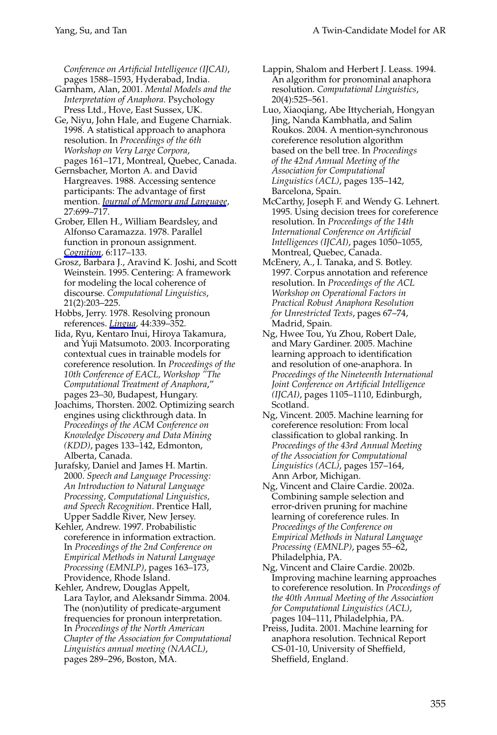*Conference on Artificial Intelligence (IJCAI)*, pages 1588–1593, Hyderabad, India.

- Garnham, Alan, 2001. *Mental Models and the Interpretation of Anaphora*. Psychology Press Ltd., Hove, East Sussex, UK.
- Ge, Niyu, John Hale, and Eugene Charniak. 1998. A statistical approach to anaphora resolution. In *Proceedings of the 6th Workshop on Very Large Corpora*, pages 161–171, Montreal, Quebec, Canada.
- Gernsbacher, Morton A. and David Hargreaves. 1988. Accessing sentence participants: The advantage of first mention. *Journal of Memory and Language*, 27:699–717.
- Grober, Ellen H., William Beardsley, and Alfonso Caramazza. 1978. Parallel function in pronoun assignment. *Cognition*, 6:117–133.
- Grosz, Barbara J., Aravind K. Joshi, and Scott Weinstein. 1995. Centering: A framework for modeling the local coherence of discourse. *Computational Linguistics*, 21(2):203–225.
- Hobbs, Jerry. 1978. Resolving pronoun references. *Lingua*, 44:339–352.
- Iida, Ryu, Kentaro Inui, Hiroya Takamura, and Yuji Matsumoto. 2003. Incorporating contextual cues in trainable models for coreference resolution. In *Proceedings of the 10th Conference of EACL, Workshop "The Computational Treatment of Anaphora*," pages 23–30, Budapest, Hungary.
- Joachims, Thorsten. 2002. Optimizing search engines using clickthrough data. In *Proceedings of the ACM Conference on Knowledge Discovery and Data Mining (KDD)*, pages 133–142, Edmonton, Alberta, Canada.
- Jurafsky, Daniel and James H. Martin. 2000. *Speech and Language Processing: An Introduction to Natural Language Processing, Computational Linguistics, and Speech Recognition*. Prentice Hall, Upper Saddle River, New Jersey.
- Kehler, Andrew. 1997. Probabilistic coreference in information extraction. In *Proceedings of the 2nd Conference on Empirical Methods in Natural Language Processing (EMNLP)*, pages 163–173, Providence, Rhode Island.
- Kehler, Andrew, Douglas Appelt, Lara Taylor, and Aleksandr Simma. 2004. The (non)utility of predicate-argument frequencies for pronoun interpretation. In *Proceedings of the North American Chapter of the Association for Computational Linguistics annual meeting (NAACL)*, pages 289–296, Boston, MA.
- Lappin, Shalom and Herbert J. Leass. 1994. An algorithm for pronominal anaphora resolution. *Computational Linguistics*, 20(4):525–561.
- Luo, Xiaoqiang, Abe Ittycheriah, Hongyan Jing, Nanda Kambhatla, and Salim Roukos. 2004. A mention-synchronous coreference resolution algorithm based on the bell tree. In *Proceedings of the 42nd Annual Meeting of the Association for Computational Linguistics (ACL)*, pages 135–142, Barcelona, Spain.
- McCarthy, Joseph F. and Wendy G. Lehnert. 1995. Using decision trees for coreference resolution. In *Proceedings of the 14th International Conference on Artificial Intelligences (IJCAI)*, pages 1050–1055, Montreal, Quebec, Canada.
- McEnery, A., I. Tanaka, and S. Botley. 1997. Corpus annotation and reference resolution. In *Proceedings of the ACL Workshop on Operational Factors in Practical Robust Anaphora Resolution for Unrestricted Texts*, pages 67–74, Madrid, Spain.
- Ng, Hwee Tou, Yu Zhou, Robert Dale, and Mary Gardiner. 2005. Machine learning approach to identification and resolution of one-anaphora. In *Proceedings of the Nineteenth International Joint Conference on Artificial Intelligence (IJCAI)*, pages 1105–1110, Edinburgh, Scotland.
- Ng, Vincent. 2005. Machine learning for coreference resolution: From local classification to global ranking. In *Proceedings of the 43rd Annual Meeting of the Association for Computational Linguistics (ACL)*, pages 157–164, Ann Arbor, Michigan.
- Ng, Vincent and Claire Cardie. 2002a. Combining sample selection and error-driven pruning for machine learning of coreference rules. In *Proceedings of the Conference on Empirical Methods in Natural Language Processing (EMNLP)*, pages 55–62, Philadelphia, PA.
- Ng, Vincent and Claire Cardie. 2002b. Improving machine learning approaches to coreference resolution. In *Proceedings of the 40th Annual Meeting of the Association for Computational Linguistics (ACL)*, pages 104–111, Philadelphia, PA.
- Preiss, Judita. 2001. Machine learning for anaphora resolution. Technical Report CS-01-10, University of Sheffield, Sheffield, England.